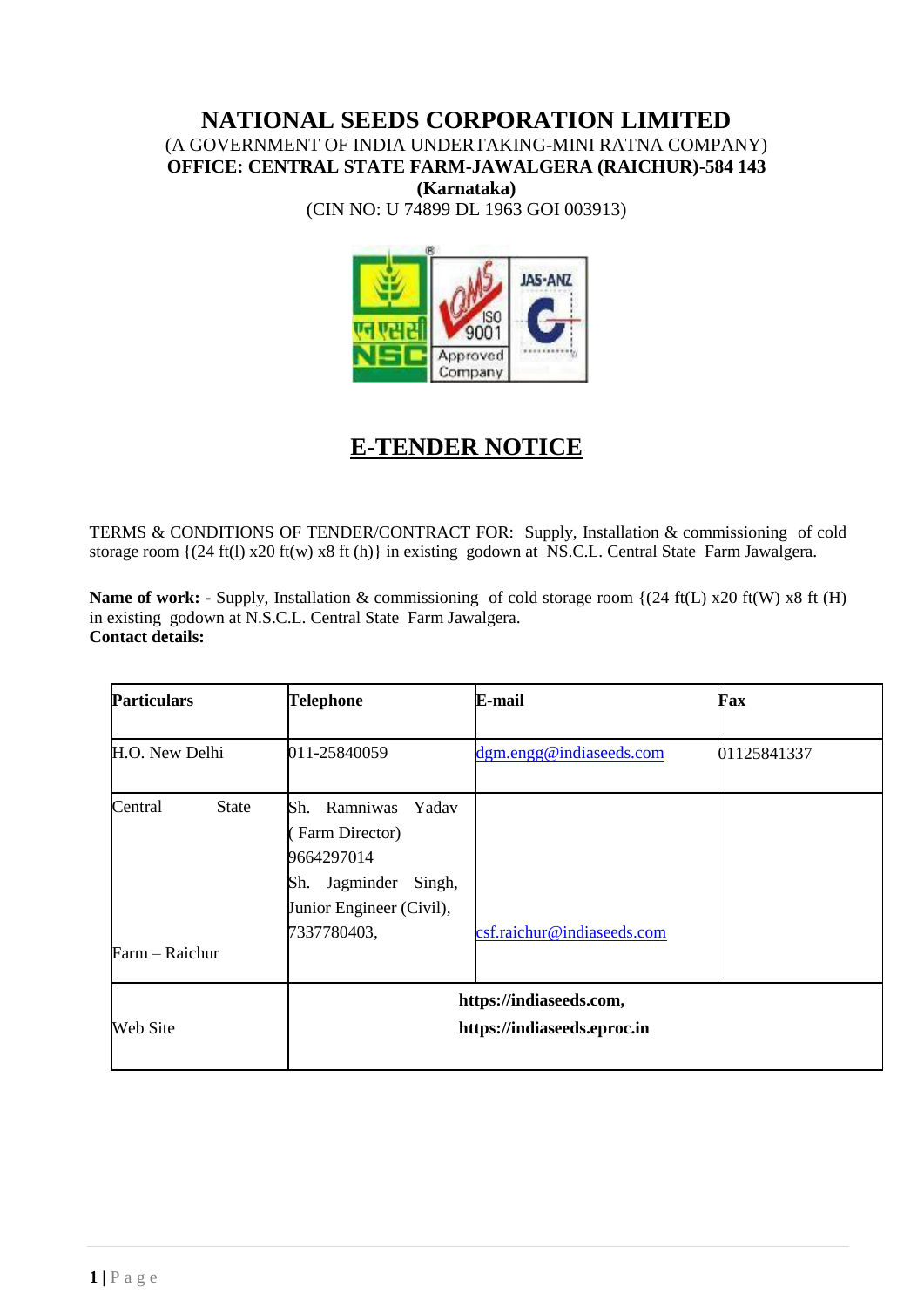# **NATIONAL SEEDS CORPORATION LIMITED** (A GOVERNMENT OF INDIA UNDERTAKING-MINI RATNA COMPANY) **OFFICE: CENTRAL STATE FARM-JAWALGERA (RAICHUR)-584 143**

**(Karnataka)**

(CIN NO: U 74899 DL 1963 GOI 003913)



# **E-TENDER NOTICE**

TERMS & CONDITIONS OF TENDER/CONTRACT FOR: Supply, Installation & commissioning of cold storage room {(24 ft(l) x20 ft(w) x8 ft (h)} in existing godown at NS.C.L. Central State Farm Jawalgera.

**Name of work:** - Supply, Installation & commissioning of cold storage room {(24 ft(L) x20 ft(W) x8 ft (H) in existing godown at N.S.C.L. Central State Farm Jawalgera. **Contact details:**

| <b>Particulars</b>                        | <b>Telephone</b>                                                                                                                  | E-mail                     | Fax         |  |  |
|-------------------------------------------|-----------------------------------------------------------------------------------------------------------------------------------|----------------------------|-------------|--|--|
| H.O. New Delhi                            | 011-25840059                                                                                                                      | dgm.engg@indiaseeds.com    | 01125841337 |  |  |
| <b>State</b><br>Central<br>Farm - Raichur | Ramniwas<br>Yadav<br>Sh.<br>Farm Director)<br>9664297014<br>Jagminder<br>Singh,<br>Sh.<br>Junior Engineer (Civil),<br>7337780403, | csf.raichur@indiaseeds.com |             |  |  |
| Web Site                                  | https://indiaseeds.com,<br>https://indiaseeds.eproc.in                                                                            |                            |             |  |  |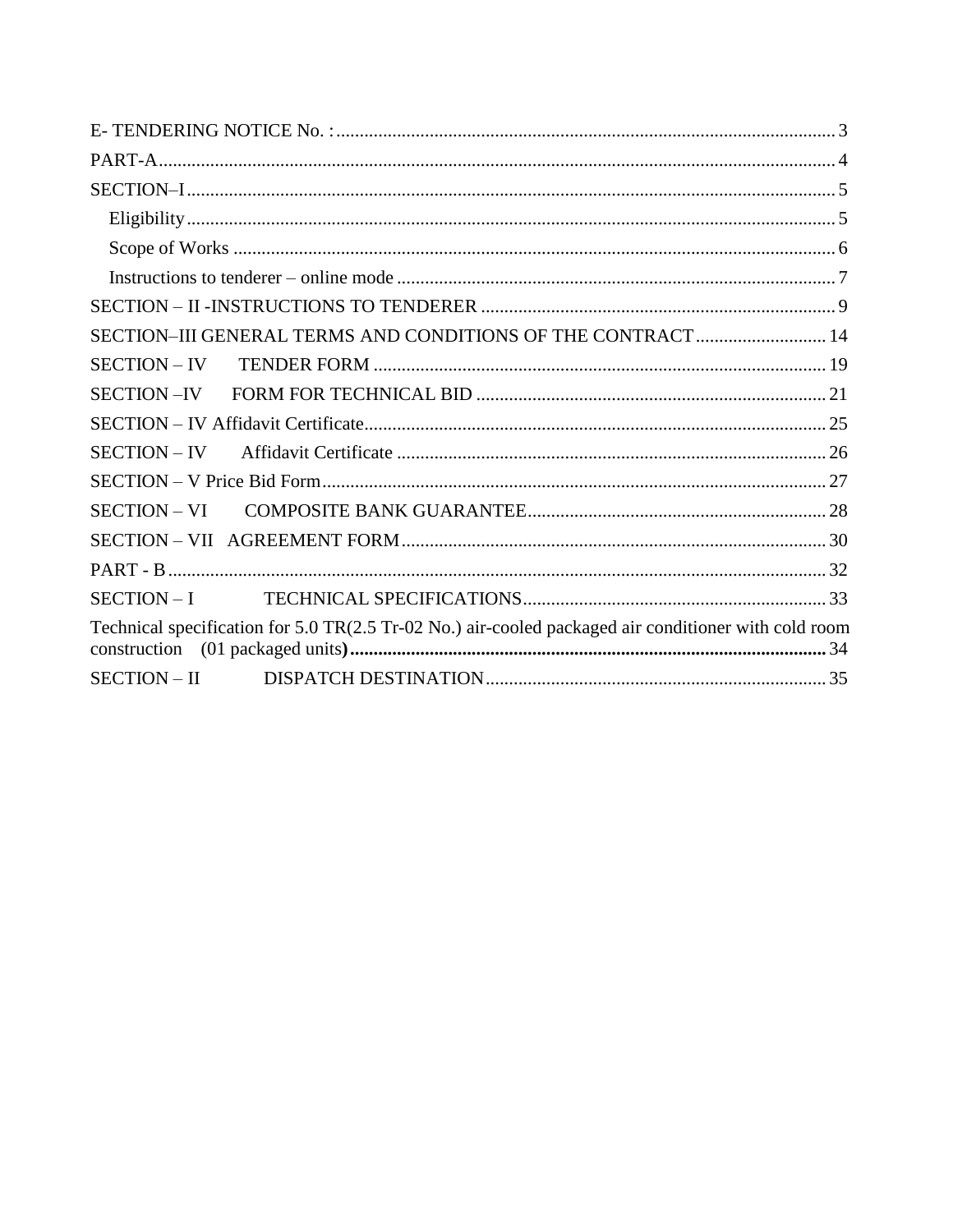|                     | SECTION-III GENERAL TERMS AND CONDITIONS OF THE CONTRACT  14                                         |  |
|---------------------|------------------------------------------------------------------------------------------------------|--|
| <b>SECTION - IV</b> |                                                                                                      |  |
|                     |                                                                                                      |  |
|                     |                                                                                                      |  |
|                     |                                                                                                      |  |
|                     |                                                                                                      |  |
| SECTION – VI        |                                                                                                      |  |
|                     |                                                                                                      |  |
|                     |                                                                                                      |  |
|                     |                                                                                                      |  |
|                     | Technical specification for 5.0 TR(2.5 Tr-02 No.) air-cooled packaged air conditioner with cold room |  |
|                     |                                                                                                      |  |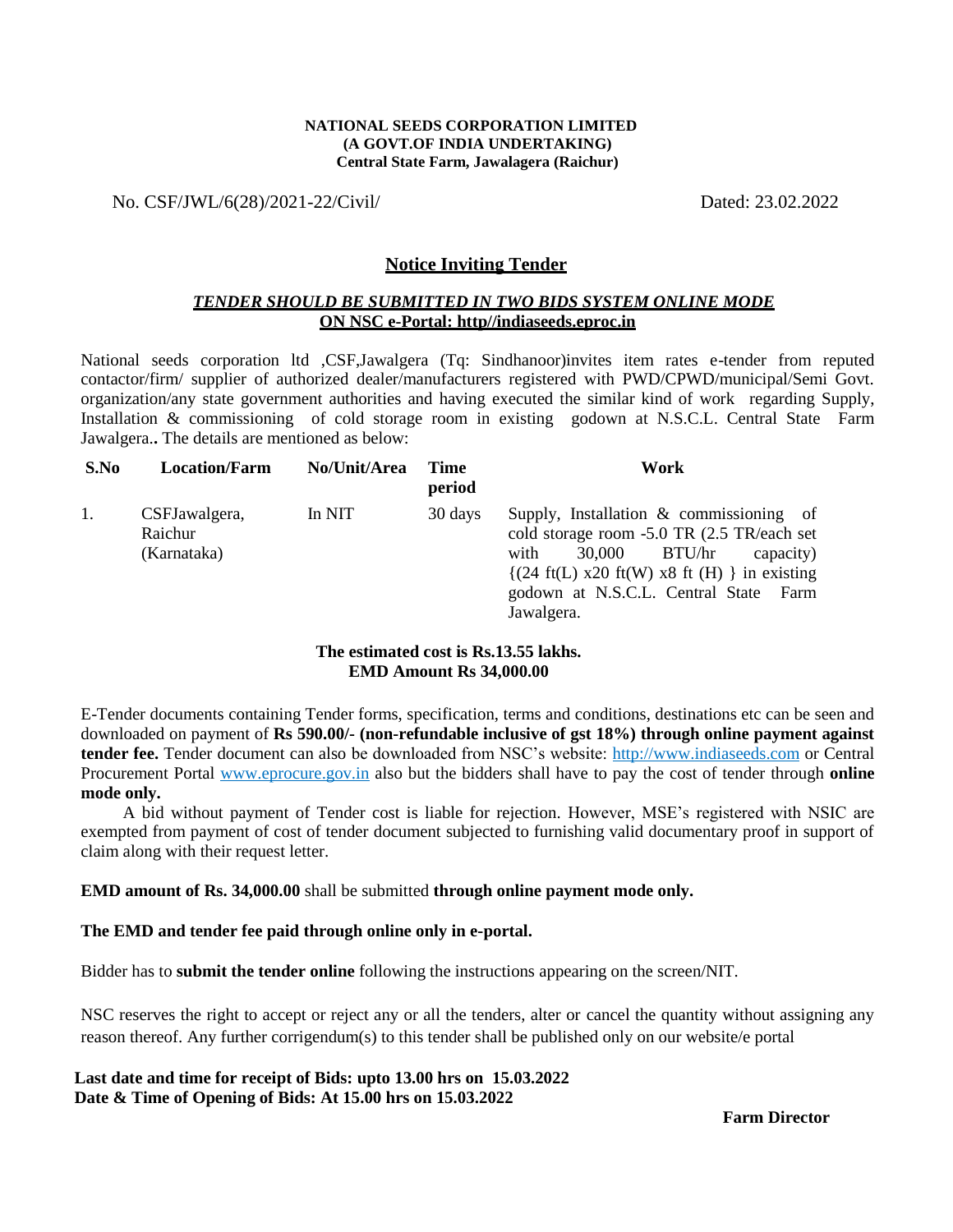#### **NATIONAL SEEDS CORPORATION LIMITED (A GOVT.OF INDIA UNDERTAKING) Central State Farm, Jawalagera (Raichur)**

No. CSF/JWL/6(28)/2021-22/Civil/ Dated: 23.02.2022

#### **Notice Inviting Tender**

#### *TENDER SHOULD BE SUBMITTED IN TWO BIDS SYSTEM ONLINE MODE* **ON NSC e-Portal: http//indiaseeds.eproc.in**

National seeds corporation ltd ,CSF,Jawalgera (Tq: Sindhanoor)invites item rates e-tender from reputed contactor/firm/ supplier of authorized dealer/manufacturers registered with PWD/CPWD/municipal/Semi Govt. organization/any state government authorities and having executed the similar kind of work regarding Supply, Installation & commissioning of cold storage room in existing godown at N.S.C.L. Central State Farm Jawalgera.**.** The details are mentioned as below:

| S.No | <b>Location/Farm</b>                    | No/Unit/Area | <b>Time</b><br>period | Work                                                                                                                                                                                                                                                                             |
|------|-----------------------------------------|--------------|-----------------------|----------------------------------------------------------------------------------------------------------------------------------------------------------------------------------------------------------------------------------------------------------------------------------|
| 1.   | CSFJawalgera,<br>Raichur<br>(Karnataka) | In NIT       | 30 days               | Supply, Installation $\&$ commissioning of<br>cold storage room -5.0 TR (2.5 TR/each set<br>BTU/hr<br>30,000<br>with<br>capacity)<br>$\{(24 \text{ ft}(L) \times 20 \text{ ft}(W) \times 8 \text{ ft}(H))\}\$ in existing<br>godown at N.S.C.L. Central State Farm<br>Jawalgera. |

#### **The estimated cost is Rs.13.55 lakhs. EMD Amount Rs 34,000.00**

E-Tender documents containing Tender forms, specification, terms and conditions, destinations etc can be seen and downloaded on payment of **Rs 590.00/- (non-refundable inclusive of gst 18%) through online payment against tender fee.** Tender document can also be downloaded from NSC"s website: http://www.indiaseeds.com or Central Procurement Portal www.eprocure.gov.in also but the bidders shall have to pay the cost of tender through **online mode only.**

A bid without payment of Tender cost is liable for rejection. However, MSE"s registered with NSIC are exempted from payment of cost of tender document subjected to furnishing valid documentary proof in support of claim along with their request letter.

#### **EMD amount of Rs. 34,000.00** shall be submitted **through online payment mode only.**

#### **The EMD and tender fee paid through online only in e-portal.**

Bidder has to **submit the tender online** following the instructions appearing on the screen/NIT.

NSC reserves the right to accept or reject any or all the tenders, alter or cancel the quantity without assigning any reason thereof. Any further corrigendum(s) to this tender shall be published only on our website/e portal

**Last date and time for receipt of Bids: upto 13.00 hrs on 15.03.2022 Date & Time of Opening of Bids: At 15.00 hrs on 15.03.2022**

 **Farm Director**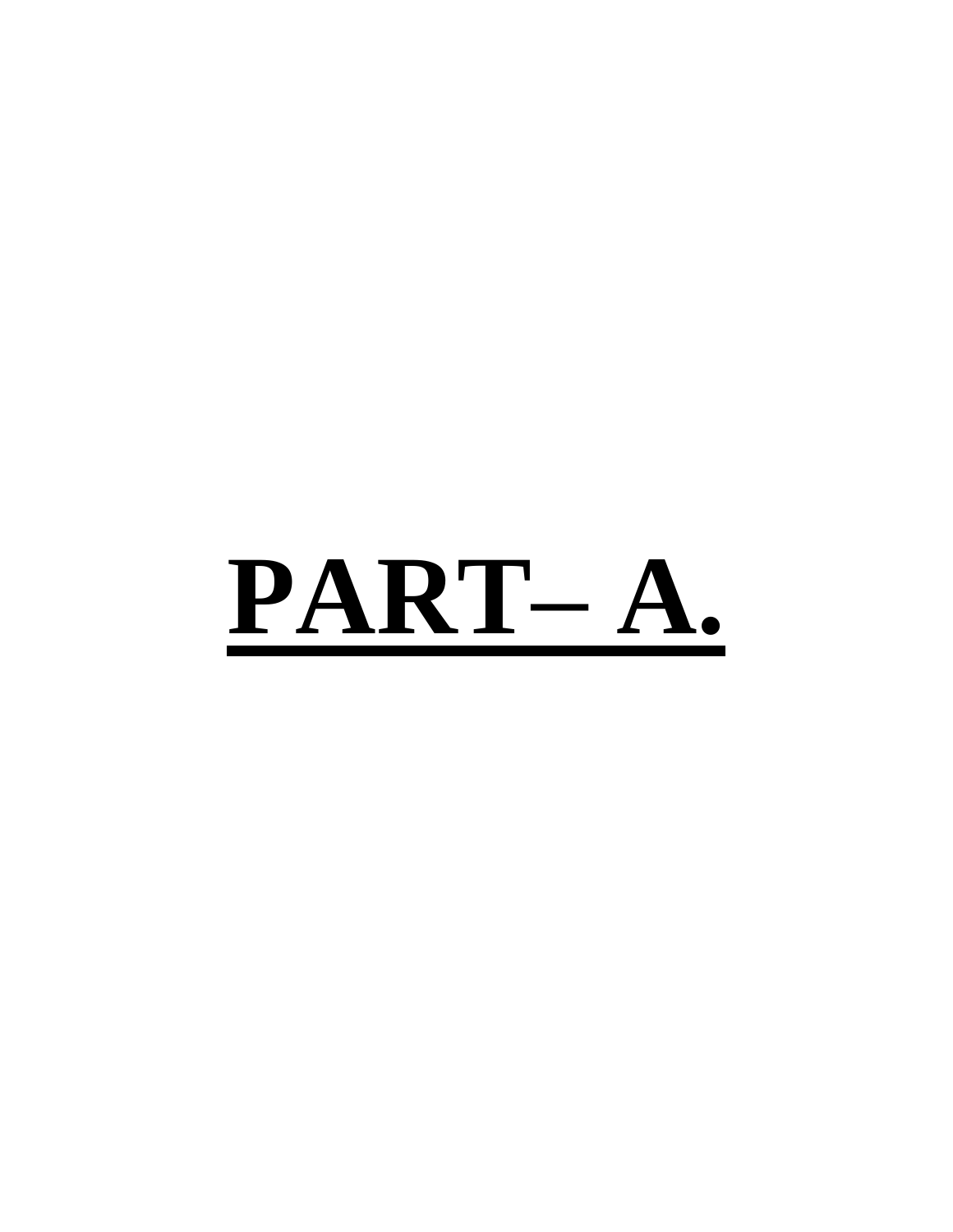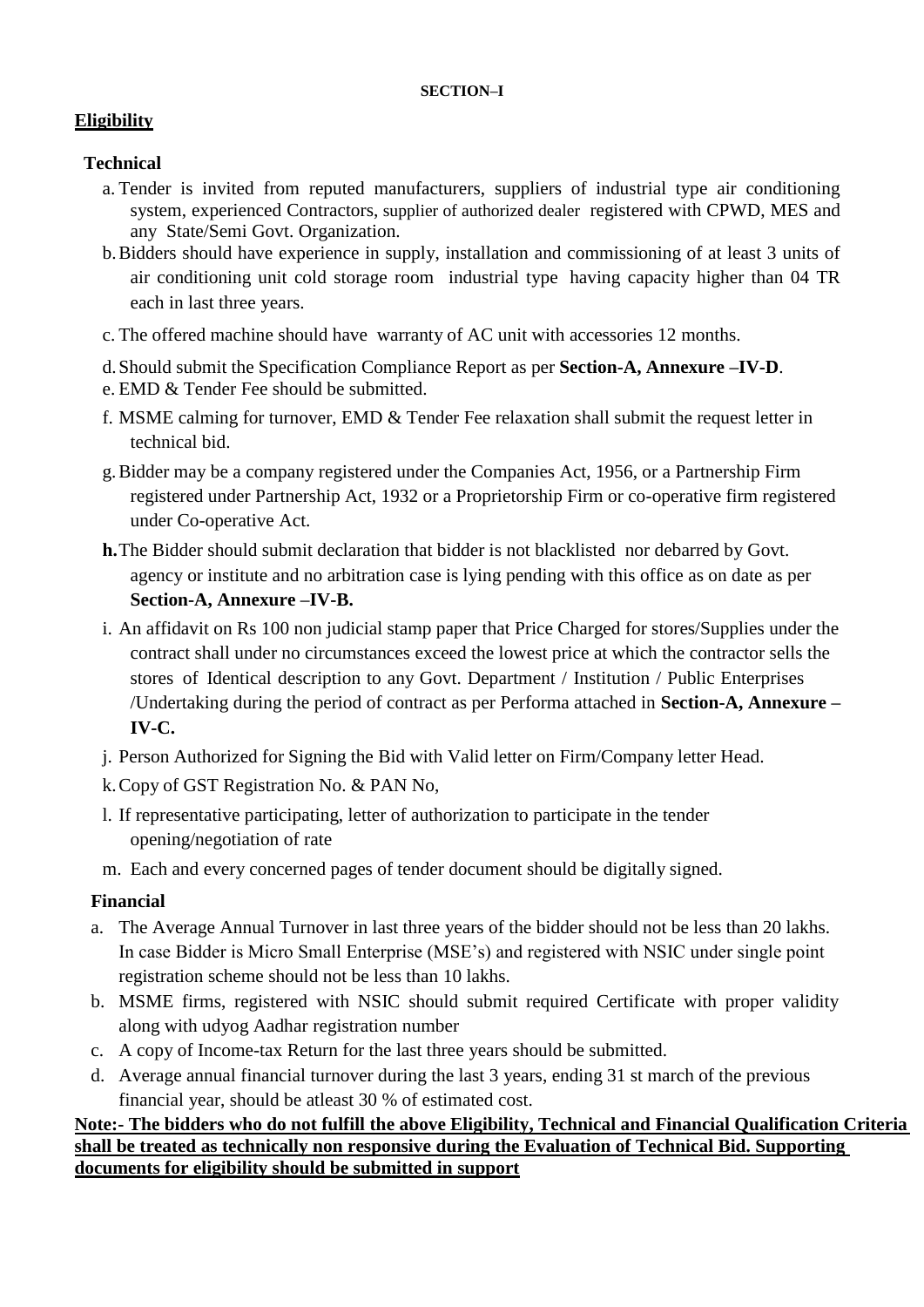#### **SECTION–I**

# <span id="page-4-0"></span>**Eligibility**

# **Technical**

- a. Tender is invited from reputed manufacturers, suppliers of industrial type air conditioning system, experienced Contractors, supplier of authorized dealer registered with CPWD, MES and any State/Semi Govt. Organization.
- b.Bidders should have experience in supply, installation and commissioning of at least 3 units of air conditioning unit cold storage room industrial type having capacity higher than 04 TR each in last three years.
- c. The offered machine should have warranty of AC unit with accessories 12 months.
- d.Should submit the Specification Compliance Report as per **Section-A, Annexure –IV-D**.
- e. EMD & Tender Fee should be submitted.
- f. MSME calming for turnover, EMD & Tender Fee relaxation shall submit the request letter in technical bid.
- g.Bidder may be a company registered under the Companies Act, 1956, or a Partnership Firm registered under Partnership Act, 1932 or a Proprietorship Firm or co-operative firm registered under Co-operative Act.
- **h.**The Bidder should submit declaration that bidder is not blacklisted nor debarred by Govt. agency or institute and no arbitration case is lying pending with this office as on date as per **Section-A, Annexure –IV-B.**
- i. An affidavit on Rs 100 non judicial stamp paper that Price Charged for stores/Supplies under the contract shall under no circumstances exceed the lowest price at which the contractor sells the stores of Identical description to any Govt. Department / Institution / Public Enterprises /Undertaking during the period of contract as per Performa attached in **Section-A, Annexure – IV-C.**
- j. Person Authorized for Signing the Bid with Valid letter on Firm/Company letter Head.
- k.Copy of GST Registration No. & PAN No,
- l. If representative participating, letter of authorization to participate in the tender opening/negotiation of rate
- m. Each and every concerned pages of tender document should be digitally signed.

# **Financial**

- a. The Average Annual Turnover in last three years of the bidder should not be less than 20 lakhs. In case Bidder is Micro Small Enterprise (MSE"s) and registered with NSIC under single point registration scheme should not be less than 10 lakhs.
- b. MSME firms, registered with NSIC should submit required Certificate with proper validity along with udyog Aadhar registration number
- c. A copy of Income-tax Return for the last three years should be submitted.
- d. Average annual financial turnover during the last 3 years, ending 31 st march of the previous financial year, should be atleast 30 % of estimated cost.

## **Note:- The bidders who do not fulfill the above Eligibility, Technical and Financial Qualification Criteria shall be treated as technically non responsive during the Evaluation of Technical Bid. Supporting documents for eligibility should be submitted in support**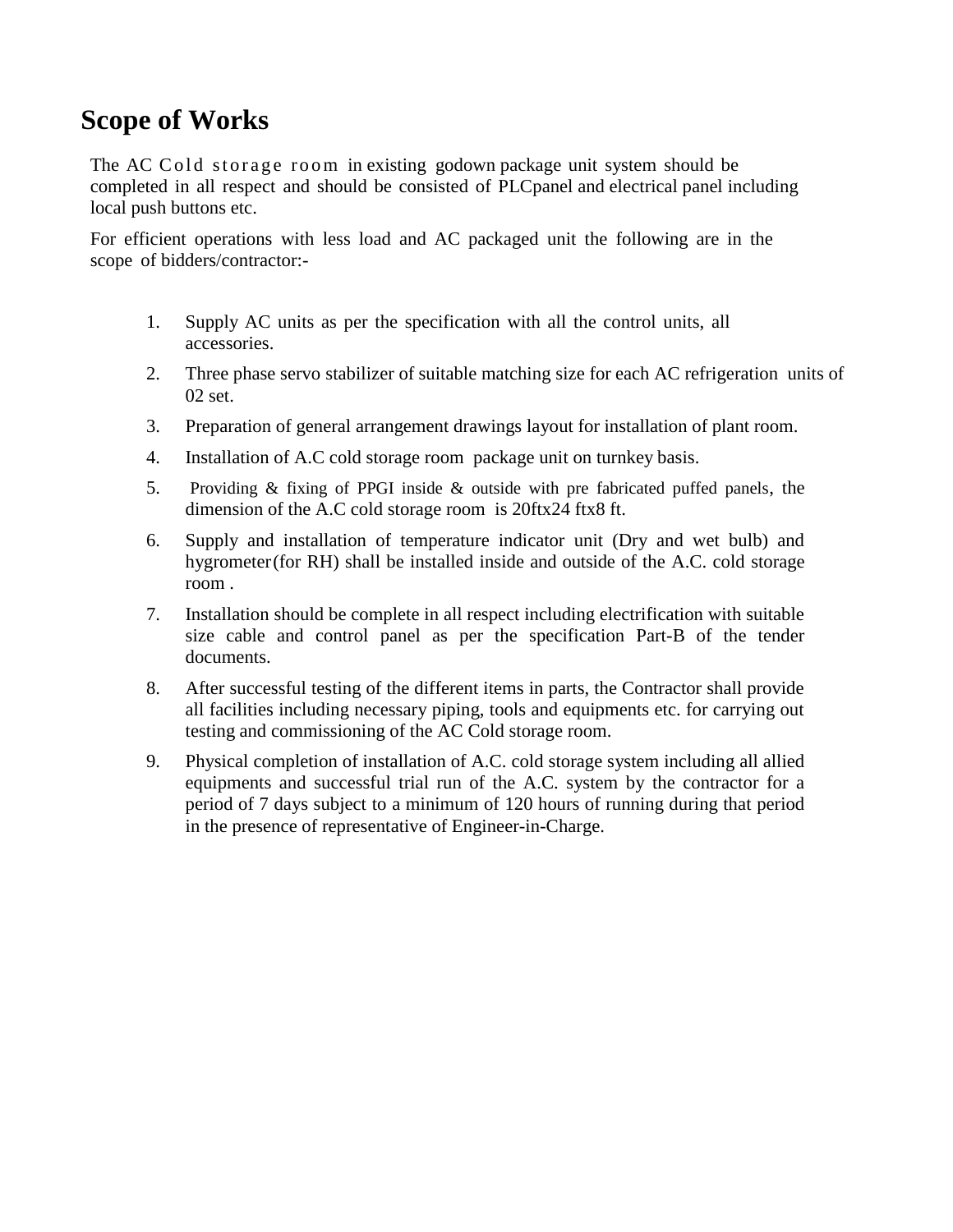# <span id="page-5-0"></span>**Scope of Works**

The AC Cold storage room in existing godown package unit system should be completed in all respect and should be consisted of PLCpanel and electrical panel including local push buttons etc.

For efficient operations with less load and AC packaged unit the following are in the scope of bidders/contractor:-

- 1. Supply AC units as per the specification with all the control units, all accessories.
- 2. Three phase servo stabilizer of suitable matching size for each AC refrigeration units of 02 set.
- 3. Preparation of general arrangement drawings layout for installation of plant room.
- 4. Installation of A.C cold storage room package unit on turnkey basis.
- 5. Providing & fixing of PPGI inside & outside with pre fabricated puffed panels, the dimension of the A.C cold storage room is 20ftx24 ftx8 ft.
- 6. Supply and installation of temperature indicator unit (Dry and wet bulb) and hygrometer(for RH) shall be installed inside and outside of the A.C. cold storage room .
- 7. Installation should be complete in all respect including electrification with suitable size cable and control panel as per the specification Part-B of the tender documents.
- 8. After successful testing of the different items in parts, the Contractor shall provide all facilities including necessary piping, tools and equipments etc. for carrying out testing and commissioning of the AC Cold storage room.
- 9. Physical completion of installation of A.C. cold storage system including all allied equipments and successful trial run of the A.C. system by the contractor for a period of 7 days subject to a minimum of 120 hours of running during that period in the presence of representative of Engineer-in-Charge.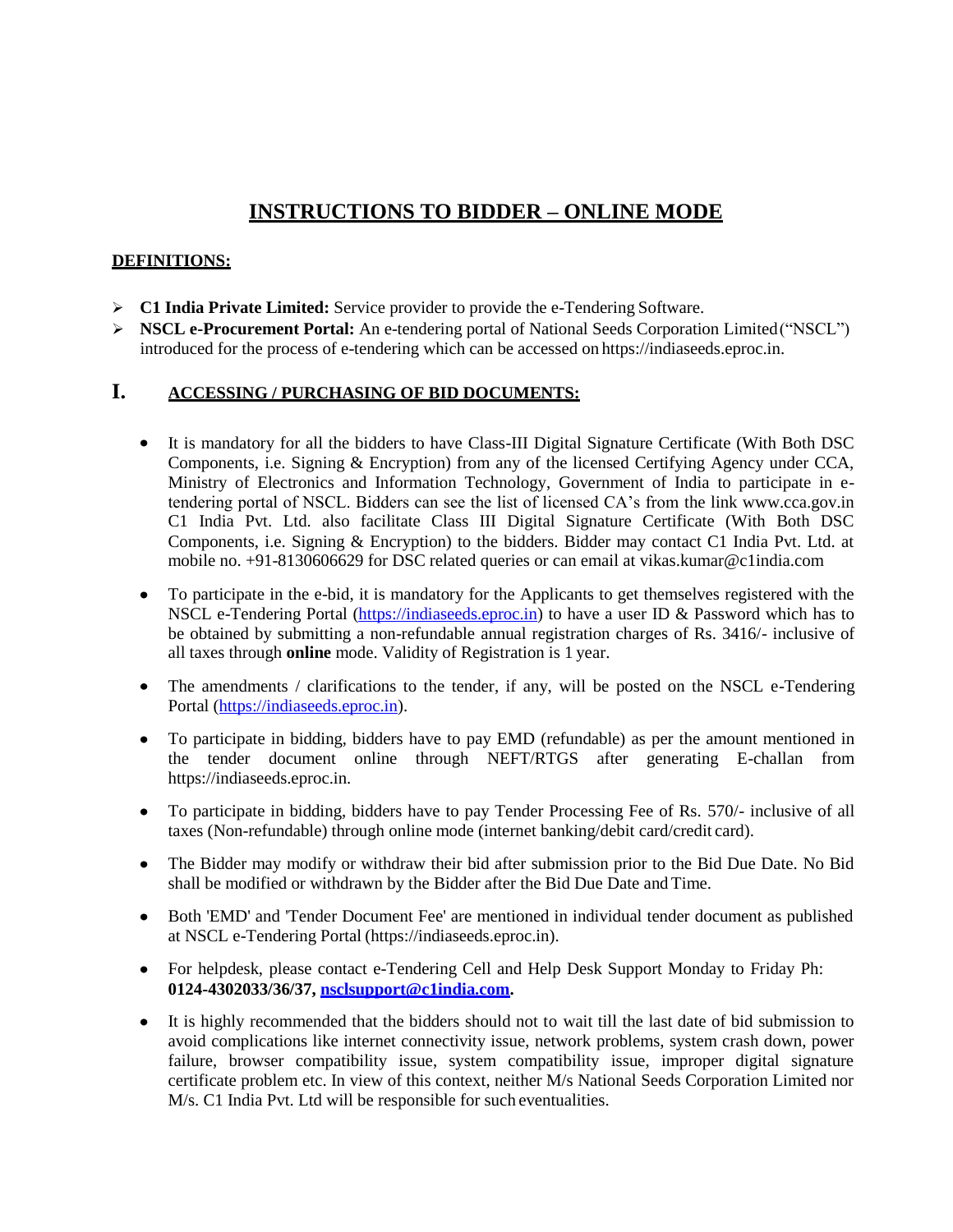# **INSTRUCTIONS TO BIDDER – ONLINE MODE**

#### **DEFINITIONS:**

- **C1 India Private Limited:** Service provider to provide the e-Tendering Software.
- **NSCL e-Procurement Portal:** An e-tendering portal of National Seeds Corporation Limited("NSCL") introduced for the process of e-tendering which can be accessed on https://indiaseeds.eproc.in.

#### **I. ACCESSING / PURCHASING OF BID DOCUMENTS:**

- It is mandatory for all the bidders to have Class-III Digital Signature Certificate (With Both DSC Components, i.e. Signing & Encryption) from any of the licensed Certifying Agency under CCA, Ministry of Electronics and Information Technology, Government of India to participate in etendering portal of NSCL. Bidders can see the list of licensed CA"s from the link [www.cca.gov.in](http://www.cca.gov.in/) C1 India Pvt. Ltd. also facilitate Class III Digital Signature Certificate (With Both DSC Components, i.e. Signing & Encryption) to the bidders. Bidder may contact C1 India Pvt. Ltd. at mobile no. +91-8130606629 for DSC related queries or can email at [vikas.kumar@c1india.com](mailto:vikas.kumar@c1india.com)
- To participate in the e-bid, it is mandatory for the Applicants to get themselves registered with the  $\bullet$ NSCL e-Tendering Portal [\(https://indiaseeds.eproc.in\)](https://indiaseeds.eproc.in/) to have a user ID & Password which has to be obtained by submitting a non-refundable annual registration charges of Rs. 3416/- inclusive of all taxes through **online** mode. Validity of Registration is 1 year.
- The amendments / clarifications to the tender, if any, will be posted on the NSCL e-Tendering  $\bullet$ Portal [\(https://indiaseeds.eproc.in\)](https://indiaseeds.eproc.in/).
- To participate in bidding, bidders have to pay EMD (refundable) as per the amount mentioned in the tender document online through NEFT/RTGS after generating E-challan from https://indiaseeds.eproc.in.
- To participate in bidding, bidders have to pay Tender Processing Fee of Rs. 570/- inclusive of all taxes (Non-refundable) through online mode (internet banking/debit card/credit card).
- The Bidder may modify or withdraw their bid after submission prior to the Bid Due Date. No Bid shall be modified or withdrawn by the Bidder after the Bid Due Date and Time.
- Both 'EMD' and 'Tender Document Fee' are mentioned in individual tender document as published  $\bullet$ at NSCL e-Tendering Portal (https://indiaseeds.eproc.in).
- For helpdesk, please contact e-Tendering Cell and Help Desk Support Monday to Friday Ph: **0124-4302033/36/37, [nsclsupport@c1india.com.](mailto:nsclsupport@c1india.com)**
- It is highly recommended that the bidders should not to wait till the last date of bid submission to avoid complications like internet connectivity issue, network problems, system crash down, power failure, browser compatibility issue, system compatibility issue, improper digital signature certificate problem etc. In view of this context, neither M/s National Seeds Corporation Limited nor M/s. C1 India Pvt. Ltd will be responsible for such eventualities.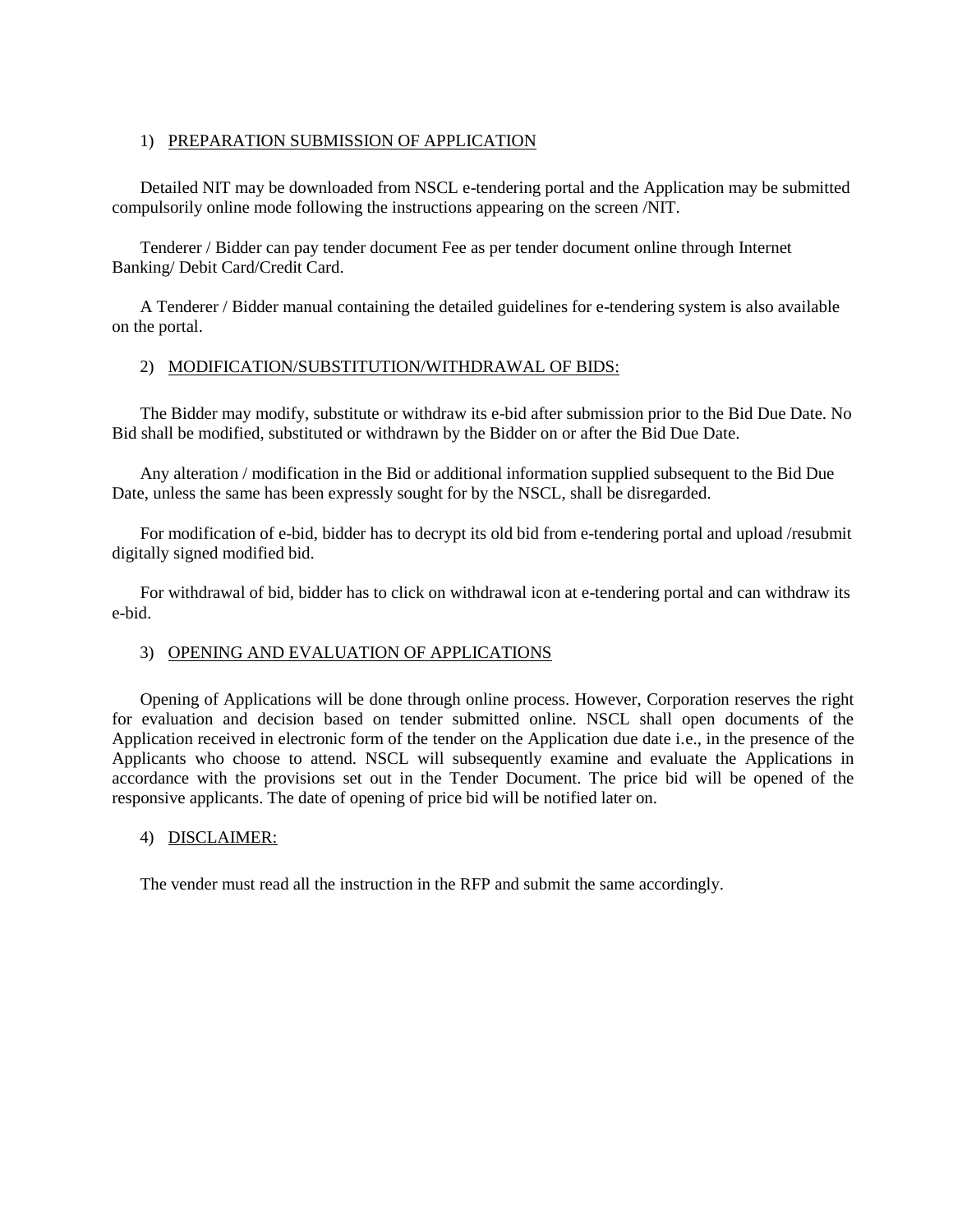#### 1) PREPARATION SUBMISSION OF APPLICATION

Detailed NIT may be downloaded from NSCL e-tendering portal and the Application may be submitted compulsorily online mode following the instructions appearing on the screen /NIT.

Tenderer / Bidder can pay tender document Fee as per tender document online through Internet Banking/ Debit Card/Credit Card.

A Tenderer / Bidder manual containing the detailed guidelines for e-tendering system is also available on the portal.

#### 2) MODIFICATION/SUBSTITUTION/WITHDRAWAL OF BIDS:

The Bidder may modify, substitute or withdraw its e-bid after submission prior to the Bid Due Date. No Bid shall be modified, substituted or withdrawn by the Bidder on or after the Bid Due Date.

Any alteration / modification in the Bid or additional information supplied subsequent to the Bid Due Date, unless the same has been expressly sought for by the NSCL, shall be disregarded.

For modification of e-bid, bidder has to decrypt its old bid from e-tendering portal and upload /resubmit digitally signed modified bid.

For withdrawal of bid, bidder has to click on withdrawal icon at e-tendering portal and can withdraw its e-bid.

#### 3) OPENING AND EVALUATION OF APPLICATIONS

Opening of Applications will be done through online process. However, Corporation reserves the right for evaluation and decision based on tender submitted online. NSCL shall open documents of the Application received in electronic form of the tender on the Application due date i.e., in the presence of the Applicants who choose to attend. NSCL will subsequently examine and evaluate the Applications in accordance with the provisions set out in the Tender Document. The price bid will be opened of the responsive applicants. The date of opening of price bid will be notified later on.

#### 4) DISCLAIMER:

The vender must read all the instruction in the RFP and submit the same accordingly.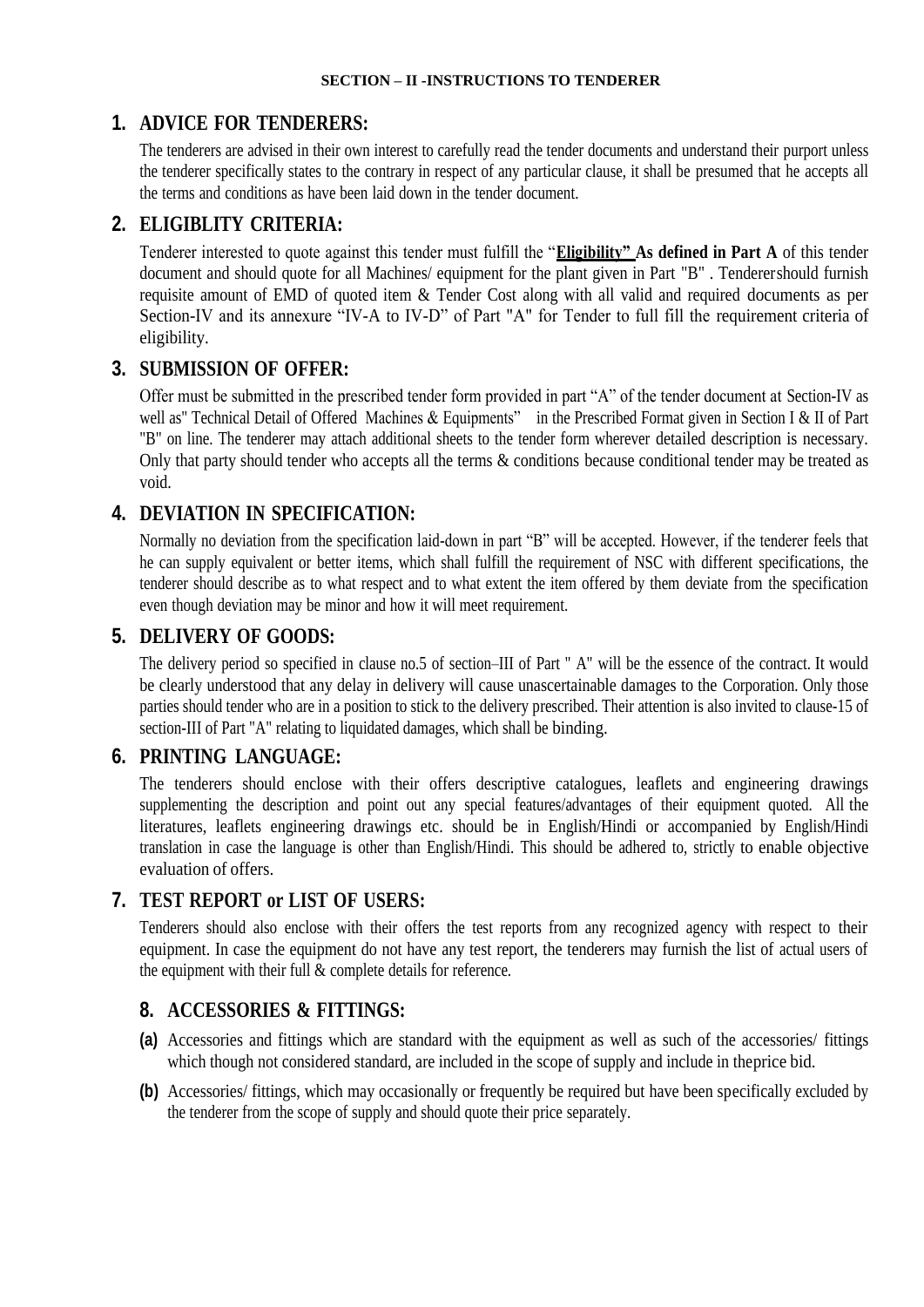# <span id="page-8-0"></span>**1. ADVICE FOR TENDERERS:**

The tenderers are advised in their own interest to carefully read the tender documents and understand their purport unless the tenderer specifically states to the contrary in respect of any particular clause, it shall be presumed that he accepts all the terms and conditions as have been laid down in the tender document.

# **2. ELIGIBLITY CRITERIA:**

Tenderer interested to quote against this tender must fulfill the "**Eligibility" As defined in Part A** of this tender document and should quote for all Machines/ equipment for the plant given in Part "B" . Tenderershould furnish requisite amount of EMD of quoted item & Tender Cost along with all valid and required documents as per Section-IV and its annexure "IV-A to IV-D" of Part "A" for Tender to full fill the requirement criteria of eligibility.

# **3. SUBMISSION OF OFFER:**

Offer must be submitted in the prescribed tender form provided in part "A" of the tender document at Section-IV as well as" Technical Detail of Offered Machines & Equipments" in the Prescribed Format given in Section I & II of Part "B" on line. The tenderer may attach additional sheets to the tender form wherever detailed description is necessary. Only that party should tender who accepts all the terms  $\&$  conditions because conditional tender may be treated as void.

# **4. DEVIATION IN SPECIFICATION:**

Normally no deviation from the specification laid-down in part "B" will be accepted. However, if the tenderer feels that he can supply equivalent or better items, which shall fulfill the requirement of NSC with different specifications, the tenderer should describe as to what respect and to what extent the item offered by them deviate from the specification even though deviation may be minor and how it will meet requirement.

# **5. DELIVERY OF GOODS:**

The delivery period so specified in clause no.5 of section–III of Part " A" will be the essence of the contract. It would be clearly understood that any delay in delivery will cause unascertainable damages to the Corporation. Only those parties should tender who are in a position to stick to the delivery prescribed. Their attention is also invited to clause-15 of section-III of Part "A" relating to liquidated damages, which shall be binding.

# **6. PRINTING LANGUAGE:**

The tenderers should enclose with their offers descriptive catalogues, leaflets and engineering drawings supplementing the description and point out any special features/advantages of their equipment quoted. All the literatures, leaflets engineering drawings etc. should be in English/Hindi or accompanied by English/Hindi translation in case the language is other than English/Hindi. This should be adhered to, strictly to enable objective evaluation of offers.

# **7. TEST REPORT or LIST OF USERS:**

Tenderers should also enclose with their offers the test reports from any recognized agency with respect to their equipment. In case the equipment do not have any test report, the tenderers may furnish the list of actual users of the equipment with their full & complete details for reference.

# **8. ACCESSORIES & FITTINGS:**

- **(a)** Accessories and fittings which are standard with the equipment as well as such of the accessories/ fittings which though not considered standard, are included in the scope of supply and include in theprice bid.
- **(b)** Accessories/ fittings, which may occasionally or frequently be required but have been specifically excluded by the tenderer from the scope of supply and should quote their price separately.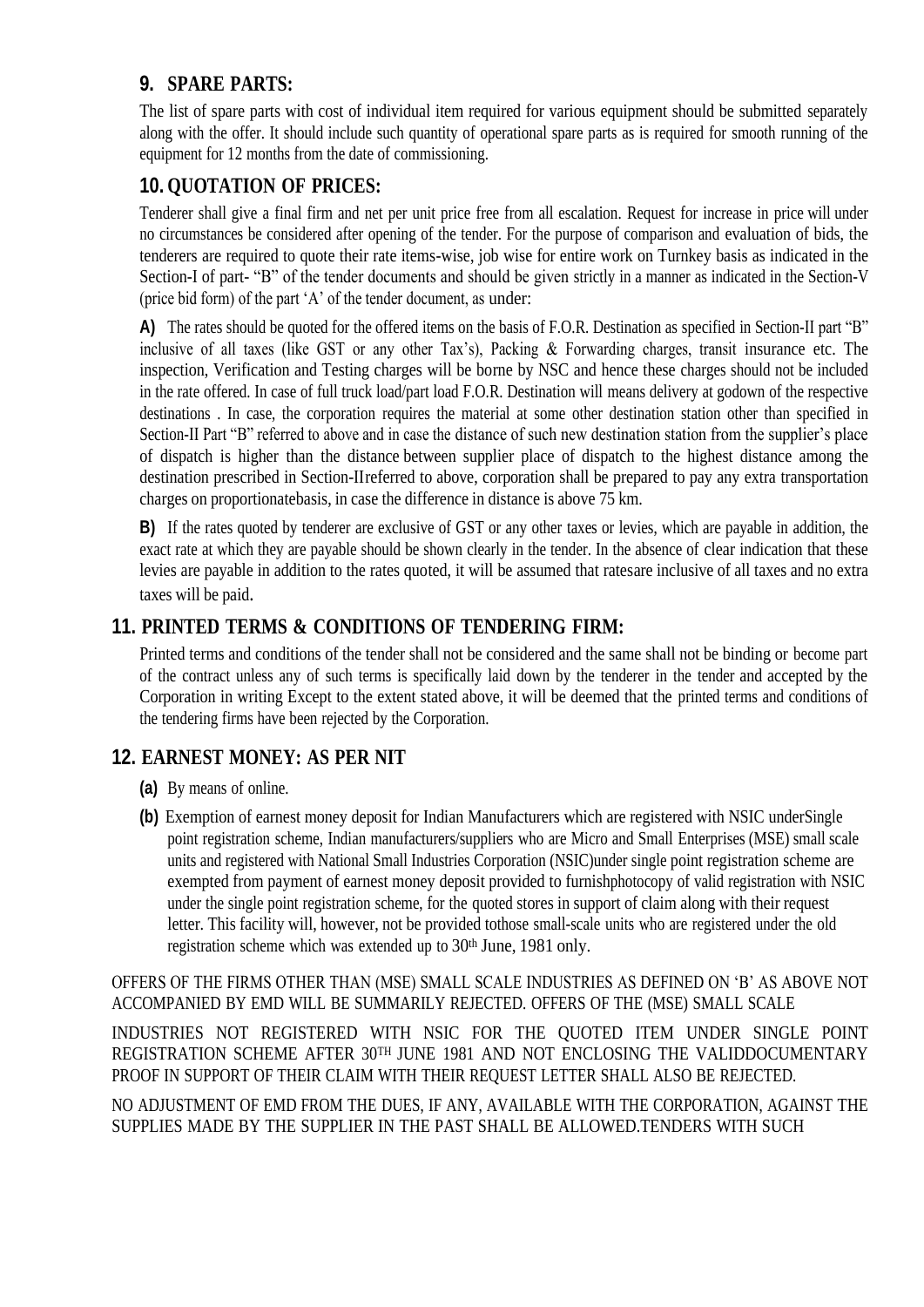# **9. SPARE PARTS:**

The list of spare parts with cost of individual item required for various equipment should be submitted separately along with the offer. It should include such quantity of operational spare parts as is required for smooth running of the equipment for 12 months from the date of commissioning.

# **10. QUOTATION OF PRICES:**

Tenderer shall give a final firm and net per unit price free from all escalation. Request for increase in price will under no circumstances be considered after opening of the tender. For the purpose of comparison and evaluation of bids, the tenderers are required to quote their rate items-wise, job wise for entire work on Turnkey basis as indicated in the Section-I of part- "B" of the tender documents and should be given strictly in a manner as indicated in the Section-V (price bid form) of the part "A" of the tender document, as under:

**A)** The rates should be quoted for the offered items on the basis of F.O.R. Destination as specified in Section-II part "B" inclusive of all taxes (like GST or any other Tax"s), Packing & Forwarding charges, transit insurance etc. The inspection, Verification and Testing charges will be borne by NSC and hence these charges should not be included in the rate offered. In case of full truck load/part load F.O.R. Destination will means delivery at godown of the respective destinations . In case, the corporation requires the material at some other destination station other than specified in Section-II Part "B" referred to above and in case the distance of such new destination station from the supplier"s place of dispatch is higher than the distance between supplier place of dispatch to the highest distance among the destination prescribed in Section-IIreferred to above, corporation shall be prepared to pay any extra transportation charges on proportionatebasis, in case the difference in distance is above 75 km.

**B)** If the rates quoted by tenderer are exclusive of GST or any other taxes or levies, which are payable in addition, the exact rate at which they are payable should be shown clearly in the tender. In the absence of clear indication that these levies are payable in addition to the rates quoted, it will be assumed that ratesare inclusive of all taxes and no extra taxes will be paid.

# **11. PRINTED TERMS & CONDITIONS OF TENDERING FIRM:**

Printed terms and conditions of the tender shall not be considered and the same shall not be binding or become part of the contract unless any of such terms is specifically laid down by the tenderer in the tender and accepted by the Corporation in writing Except to the extent stated above, it will be deemed that the printed terms and conditions of the tendering firms have been rejected by the Corporation.

# **12. EARNEST MONEY: AS PER NIT**

- **(a)** By means of online.
- **(b)** Exemption of earnest money deposit for Indian Manufacturers which are registered with NSIC underSingle point registration scheme, Indian manufacturers/suppliers who are Micro and Small Enterprises (MSE) small scale units and registered with National Small Industries Corporation (NSIC)under single point registration scheme are exempted from payment of earnest money deposit provided to furnishphotocopy of valid registration with NSIC under the single point registration scheme, for the quoted stores in support of claim along with their request letter. This facility will, however, not be provided tothose small-scale units who are registered under the old registration scheme which was extended up to 30<sup>th</sup> June, 1981 only.

OFFERS OF THE FIRMS OTHER THAN (MSE) SMALL SCALE INDUSTRIES AS DEFINED ON "B" AS ABOVE NOT ACCOMPANIED BY EMD WILL BE SUMMARILY REJECTED. OFFERS OF THE (MSE) SMALL SCALE

INDUSTRIES NOT REGISTERED WITH NSIC FOR THE QUOTED ITEM UNDER SINGLE POINT REGISTRATION SCHEME AFTER 30TH JUNE 1981 AND NOT ENCLOSING THE VALIDDOCUMENTARY PROOF IN SUPPORT OF THEIR CLAIM WITH THEIR REQUEST LETTER SHALL ALSO BE REJECTED.

NO ADJUSTMENT OF EMD FROM THE DUES, IF ANY, AVAILABLE WITH THE CORPORATION, AGAINST THE SUPPLIES MADE BY THE SUPPLIER IN THE PAST SHALL BE ALLOWED.TENDERS WITH SUCH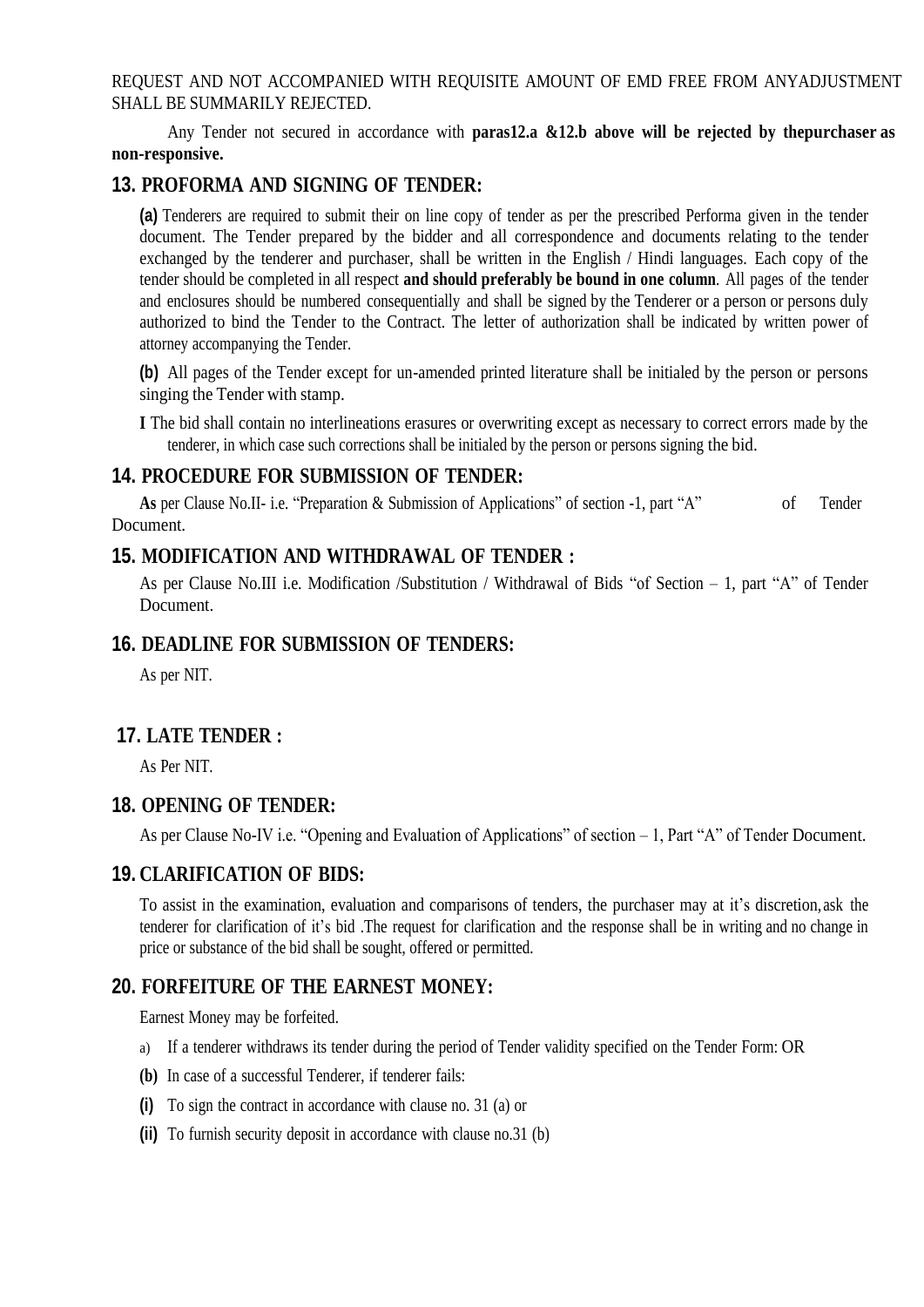REQUEST AND NOT ACCOMPANIED WITH REQUISITE AMOUNT OF EMD FREE FROM ANYADJUSTMENT SHALL BE SUMMARILY REJECTED.

Any Tender not secured in accordance with **paras12.a &12.b above will be rejected by thepurchaser as non-responsive.**

#### **13. PROFORMA AND SIGNING OF TENDER:**

**(a)** Tenderers are required to submit their on line copy of tender as per the prescribed Performa given in the tender document. The Tender prepared by the bidder and all correspondence and documents relating to the tender exchanged by the tenderer and purchaser, shall be written in the English / Hindi languages. Each copy of the tender should be completed in all respect **and should preferably be bound in one column**. All pages of the tender and enclosures should be numbered consequentially and shall be signed by the Tenderer or a person or persons duly authorized to bind the Tender to the Contract. The letter of authorization shall be indicated by written power of attorney accompanying the Tender.

**(b)** All pages of the Tender except for un-amended printed literature shall be initialed by the person or persons singing the Tender with stamp.

**I** The bid shall contain no interlineations erasures or overwriting except as necessary to correct errors made by the tenderer, in which case such corrections shall be initialed by the person or persons signing the bid.

#### **14. PROCEDURE FOR SUBMISSION OF TENDER:**

As per Clause No.II- i.e. "Preparation & Submission of Applications" of section -1, part "A" of Tender Document.

#### **15. MODIFICATION AND WITHDRAWAL OF TENDER :**

As per Clause No.III i.e. Modification /Substitution / Withdrawal of Bids "of Section – 1, part "A" of Tender Document.

#### **16. DEADLINE FOR SUBMISSION OF TENDERS:**

As per NIT.

#### **17. LATE TENDER :**

As Per NIT.

#### **18. OPENING OF TENDER:**

As per Clause No-IV i.e. "Opening and Evaluation of Applications" of section – 1, Part "A" of Tender Document.

#### **19. CLARIFICATION OF BIDS:**

To assist in the examination, evaluation and comparisons of tenders, the purchaser may at it"s discretion, ask the tenderer for clarification of it"s bid .The request for clarification and the response shall be in writing and no change in price or substance of the bid shall be sought, offered or permitted.

#### **20. FORFEITURE OF THE EARNEST MONEY:**

Earnest Money may be forfeited.

- a) If a tenderer withdraws its tender during the period of Tender validity specified on the Tender Form: OR
- **(b)** In case of a successful Tenderer, if tenderer fails:
- **(i)** To sign the contract in accordance with clause no. 31 (a) or
- **(ii)** To furnish security deposit in accordance with clause no.31 (b)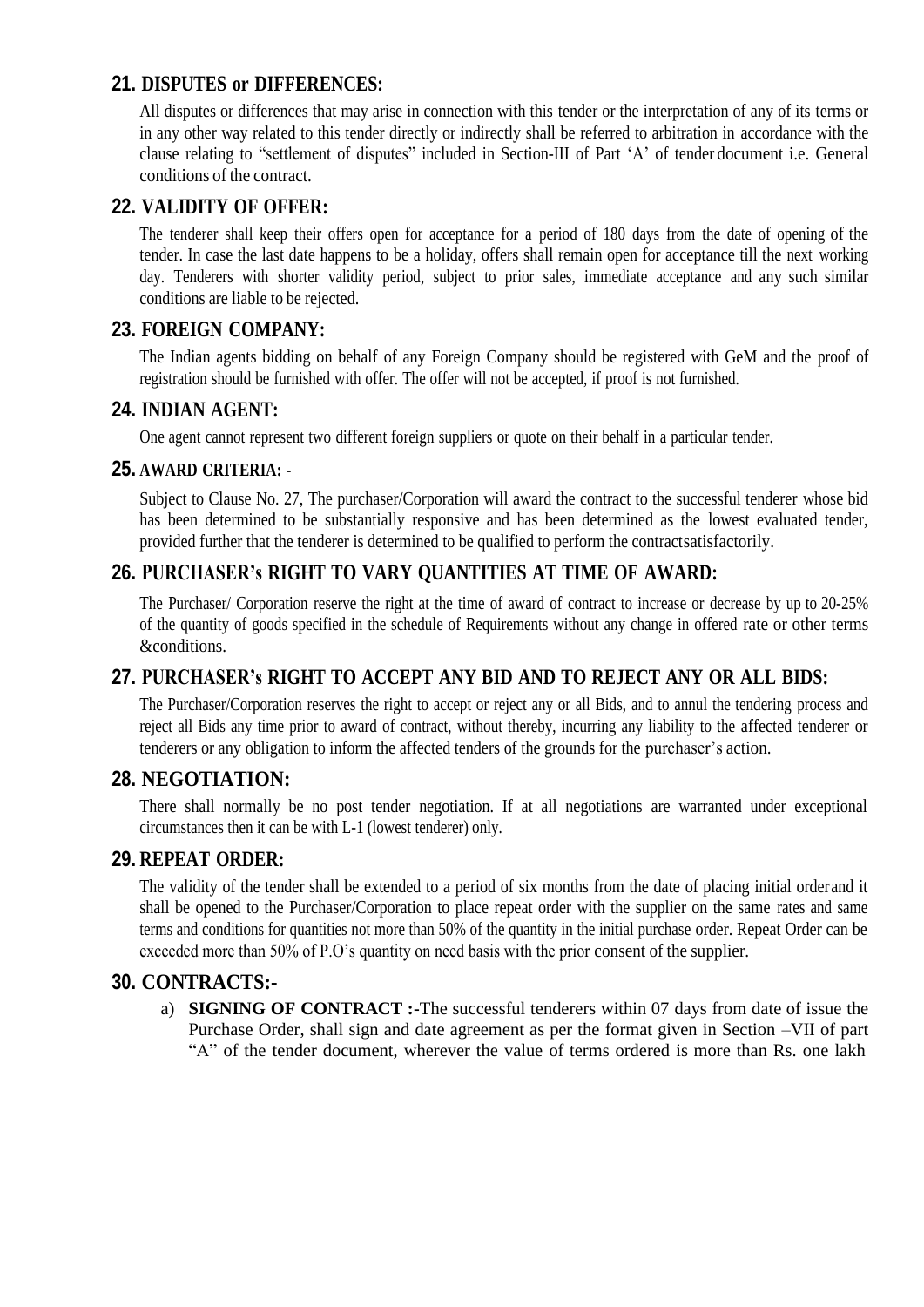# **21. DISPUTES or DIFFERENCES:**

All disputes or differences that may arise in connection with this tender or the interpretation of any of its terms or in any other way related to this tender directly or indirectly shall be referred to arbitration in accordance with the clause relating to "settlement of disputes" included in Section-III of Part "A" of tender document i.e. General conditions of the contract.

# **22. VALIDITY OF OFFER:**

The tenderer shall keep their offers open for acceptance for a period of 180 days from the date of opening of the tender. In case the last date happens to be a holiday, offers shall remain open for acceptance till the next working day. Tenderers with shorter validity period, subject to prior sales, immediate acceptance and any such similar conditions are liable to be rejected.

# **23. FOREIGN COMPANY:**

The Indian agents bidding on behalf of any Foreign Company should be registered with GeM and the proof of registration should be furnished with offer. The offer will not be accepted, if proof is not furnished.

## **24. INDIAN AGENT:**

One agent cannot represent two different foreign suppliers or quote on their behalf in a particular tender.

## **25. AWARD CRITERIA: -**

Subject to Clause No. 27, The purchaser/Corporation will award the contract to the successful tenderer whose bid has been determined to be substantially responsive and has been determined as the lowest evaluated tender, provided further that the tenderer is determined to be qualified to perform the contractsatisfactorily.

# **26. PURCHASER's RIGHT TO VARY QUANTITIES AT TIME OF AWARD:**

The Purchaser/ Corporation reserve the right at the time of award of contract to increase or decrease by up to 20-25% of the quantity of goods specified in the schedule of Requirements without any change in offered rate or other terms &conditions.

# **27. PURCHASER's RIGHT TO ACCEPT ANY BID AND TO REJECT ANY OR ALL BIDS:**

The Purchaser/Corporation reserves the right to accept or reject any or all Bids, and to annul the tendering process and reject all Bids any time prior to award of contract, without thereby, incurring any liability to the affected tenderer or tenderers or any obligation to inform the affected tenders of the grounds for the purchaser"s action.

# **28. NEGOTIATION:**

There shall normally be no post tender negotiation. If at all negotiations are warranted under exceptional circumstances then it can be with L-1 (lowest tenderer) only.

# **29. REPEAT ORDER:**

The validity of the tender shall be extended to a period of six months from the date of placing initial orderand it shall be opened to the Purchaser/Corporation to place repeat order with the supplier on the same rates and same terms and conditions for quantities not more than 50% of the quantity in the initial purchase order. Repeat Order can be exceeded more than 50% of P.O's quantity on need basis with the prior consent of the supplier.

#### **30. CONTRACTS:-**

a) **SIGNING OF CONTRACT :-**The successful tenderers within 07 days from date of issue the Purchase Order, shall sign and date agreement as per the format given in Section –VII of part "A" of the tender document, wherever the value of terms ordered is more than Rs. one lakh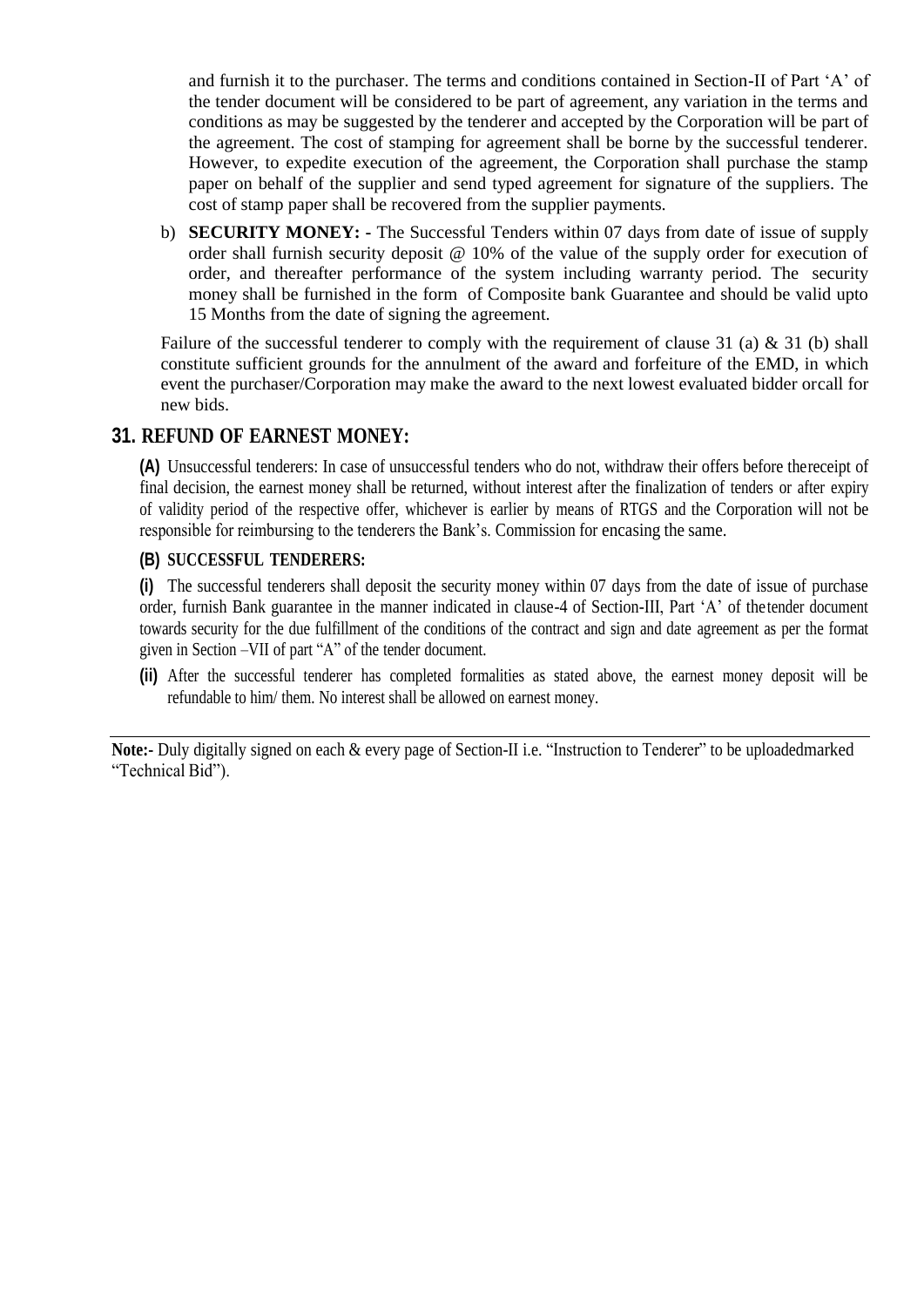and furnish it to the purchaser. The terms and conditions contained in Section-II of Part "A" of the tender document will be considered to be part of agreement, any variation in the terms and conditions as may be suggested by the tenderer and accepted by the Corporation will be part of the agreement. The cost of stamping for agreement shall be borne by the successful tenderer. However, to expedite execution of the agreement, the Corporation shall purchase the stamp paper on behalf of the supplier and send typed agreement for signature of the suppliers. The cost of stamp paper shall be recovered from the supplier payments.

b) **SECURITY MONEY: -** The Successful Tenders within 07 days from date of issue of supply order shall furnish security deposit @ 10% of the value of the supply order for execution of order, and thereafter performance of the system including warranty period. The security money shall be furnished in the form of Composite bank Guarantee and should be valid upto 15 Months from the date of signing the agreement.

Failure of the successful tenderer to comply with the requirement of clause 31 (a) & 31 (b) shall constitute sufficient grounds for the annulment of the award and forfeiture of the EMD, in which event the purchaser/Corporation may make the award to the next lowest evaluated bidder orcall for new bids.

## **31. REFUND OF EARNEST MONEY:**

**(A)** Unsuccessful tenderers: In case of unsuccessful tenders who do not, withdraw their offers before thereceipt of final decision, the earnest money shall be returned, without interest after the finalization of tenders or after expiry of validity period of the respective offer, whichever is earlier by means of RTGS and the Corporation will not be responsible for reimbursing to the tenderers the Bank"s. Commission for encasing the same.

#### **(B) SUCCESSFUL TENDERERS:**

**(i)** The successful tenderers shall deposit the security money within 07 days from the date of issue of purchase order, furnish Bank guarantee in the manner indicated in clause-4 of Section-III, Part "A" of thetender document towards security for the due fulfillment of the conditions of the contract and sign and date agreement as per the format given in Section –VII of part "A" of the tender document.

**(ii)** After the successful tenderer has completed formalities as stated above, the earnest money deposit will be refundable to him/ them. No interest shall be allowed on earnest money.

**Note:-** Duly digitally signed on each & every page of Section-II i.e. "Instruction to Tenderer" to be uploadedmarked "Technical Bid").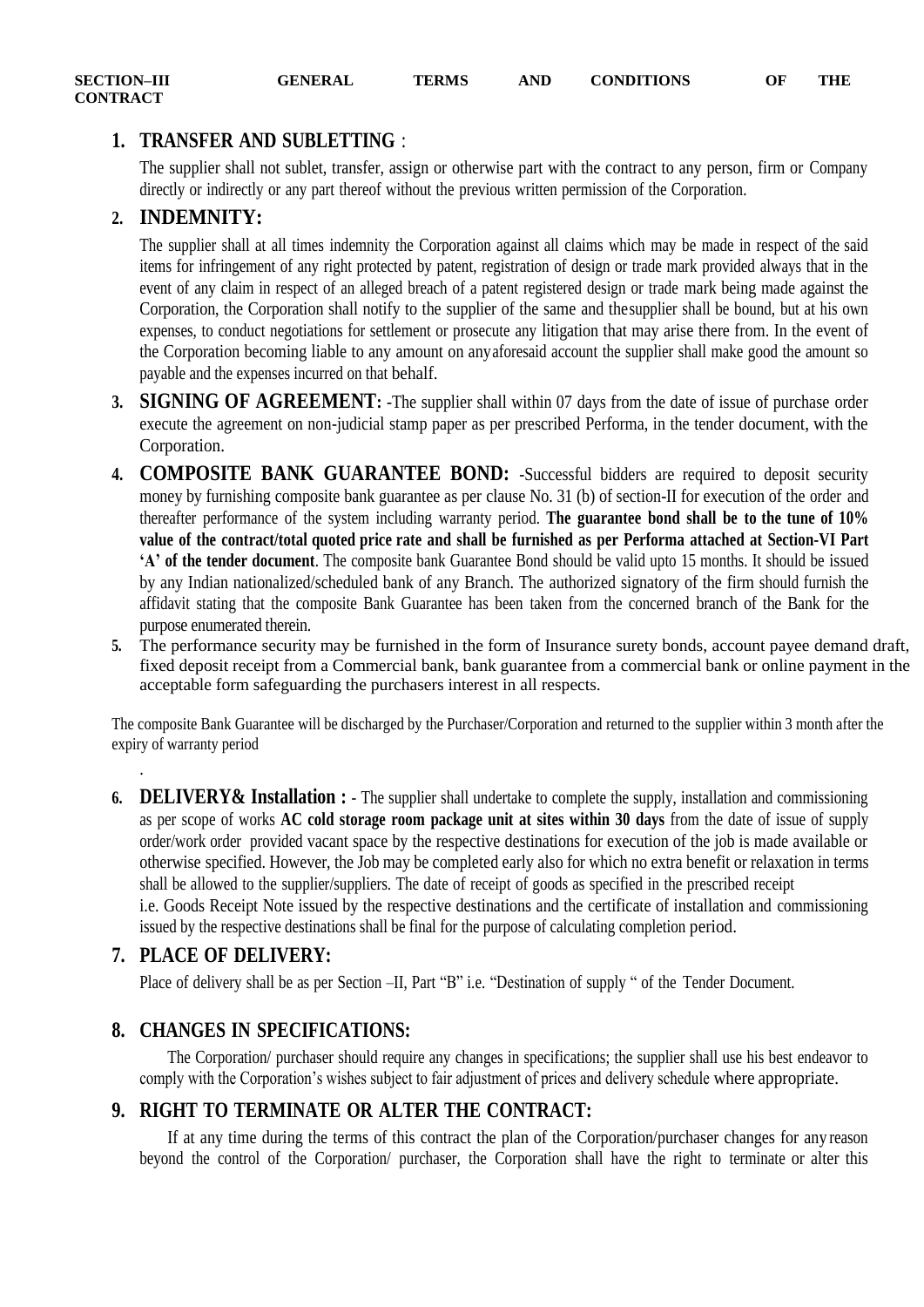# <span id="page-13-0"></span>**1. TRANSFER AND SUBLETTING** :

The supplier shall not sublet, transfer, assign or otherwise part with the contract to any person, firm or Company directly or indirectly or any part thereof without the previous written permission of the Corporation.

## **2. INDEMNITY:**

The supplier shall at all times indemnity the Corporation against all claims which may be made in respect of the said items for infringement of any right protected by patent, registration of design or trade mark provided always that in the event of any claim in respect of an alleged breach of a patent registered design or trade mark being made against the Corporation, the Corporation shall notify to the supplier of the same and thesupplier shall be bound, but at his own expenses, to conduct negotiations for settlement or prosecute any litigation that may arise there from. In the event of the Corporation becoming liable to any amount on anyaforesaid account the supplier shall make good the amount so payable and the expenses incurred on that behalf.

- **3. SIGNING OF AGREEMENT:** -The supplier shall within 07 days from the date of issue of purchase order execute the agreement on non-judicial stamp paper as per prescribed Performa, in the tender document, with the Corporation.
- **4. COMPOSITE BANK GUARANTEE BOND:** -Successful bidders are required to deposit security money by furnishing composite bank guarantee as per clause No. 31 (b) of section-II for execution of the order and thereafter performance of the system including warranty period. **The guarantee bond shall be to the tune of 10% value of the contract/total quoted price rate and shall be furnished as per Performa attached at Section-VI Part 'A' of the tender document**. The composite bank Guarantee Bond should be valid upto 15 months. It should be issued by any Indian nationalized/scheduled bank of any Branch. The authorized signatory of the firm should furnish the affidavit stating that the composite Bank Guarantee has been taken from the concerned branch of the Bank for the purpose enumerated therein.
- **5.** The performance security may be furnished in the form of Insurance surety bonds, account payee demand draft, fixed deposit receipt from a Commercial bank, bank guarantee from a commercial bank or online payment in the acceptable form safeguarding the purchasers interest in all respects.

The composite Bank Guarantee will be discharged by the Purchaser/Corporation and returned to the supplier within 3 month after the expiry of warranty period

**6. DELIVERY& Installation :** - The supplier shall undertake to complete the supply, installation and commissioning as per scope of works **AC cold storage room package unit at sites within 30 days** from the date of issue of supply order/work order provided vacant space by the respective destinations for execution of the job is made available or otherwise specified. However, the Job may be completed early also for which no extra benefit or relaxation in terms shall be allowed to the supplier/suppliers. The date of receipt of goods as specified in the prescribed receipt i.e. Goods Receipt Note issued by the respective destinations and the certificate of installation and commissioning issued by the respective destinations shall be final for the purpose of calculating completion period.

# **7. PLACE OF DELIVERY:**

.

Place of delivery shall be as per Section –II, Part "B" i.e. "Destination of supply " of the Tender Document.

# **8. CHANGES IN SPECIFICATIONS:**

The Corporation/ purchaser should require any changes in specifications; the supplier shall use his best endeavor to comply with the Corporation"s wishes subject to fair adjustment of prices and delivery schedule where appropriate.

# **9. RIGHT TO TERMINATE OR ALTER THE CONTRACT:**

If at any time during the terms of this contract the plan of the Corporation/purchaser changes for any reason beyond the control of the Corporation/ purchaser, the Corporation shall have the right to terminate or alter this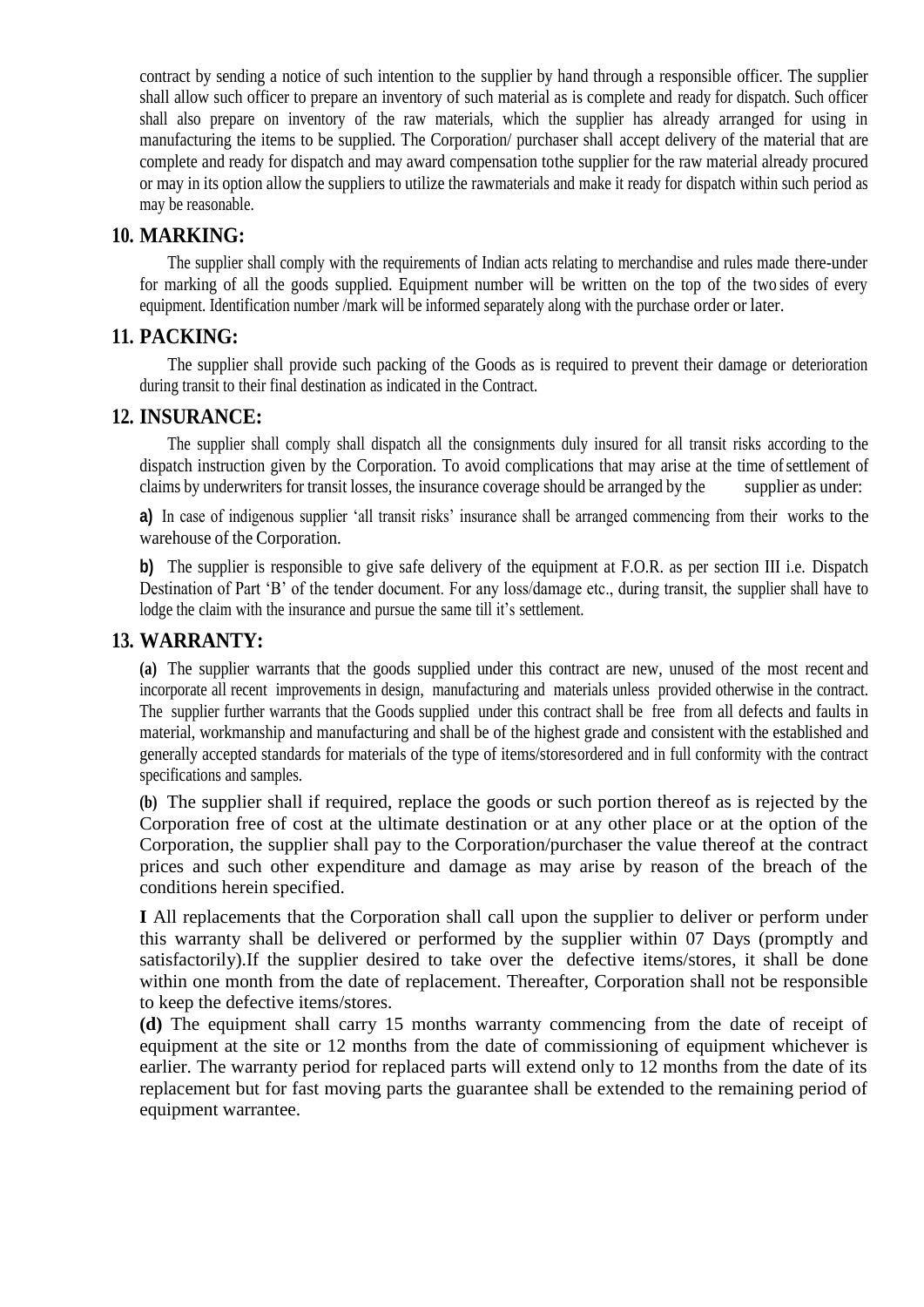contract by sending a notice of such intention to the supplier by hand through a responsible officer. The supplier shall allow such officer to prepare an inventory of such material as is complete and ready for dispatch. Such officer shall also prepare on inventory of the raw materials, which the supplier has already arranged for using in manufacturing the items to be supplied. The Corporation/ purchaser shall accept delivery of the material that are complete and ready for dispatch and may award compensation tothe supplier for the raw material already procured or may in its option allow the suppliers to utilize the rawmaterials and make it ready for dispatch within such period as may be reasonable.

## **10. MARKING:**

The supplier shall comply with the requirements of Indian acts relating to merchandise and rules made there-under for marking of all the goods supplied. Equipment number will be written on the top of the two sides of every equipment. Identification number /mark will be informed separately along with the purchase order or later.

# **11. PACKING:**

The supplier shall provide such packing of the Goods as is required to prevent their damage or deterioration during transit to their final destination as indicated in the Contract.

# **12. INSURANCE:**

The supplier shall comply shall dispatch all the consignments duly insured for all transit risks according to the dispatch instruction given by the Corporation. To avoid complications that may arise at the time of settlement of claims by underwriters for transit losses, the insurance coverage should be arranged by the supplier as under:

**a)** In case of indigenous supplier 'all transit risks' insurance shall be arranged commencing from their works to the warehouse of the Corporation.

**b)** The supplier is responsible to give safe delivery of the equipment at F.O.R. as per section III i.e. Dispatch Destination of Part 'B' of the tender document. For any loss/damage etc., during transit, the supplier shall have to lodge the claim with the insurance and pursue the same till it's settlement.

# **13. WARRANTY:**

**(a)** The supplier warrants that the goods supplied under this contract are new, unused of the most recent and incorporate all recent improvements in design, manufacturing and materials unless provided otherwise in the contract. The supplier further warrants that the Goods supplied under this contract shall be free from all defects and faults in material, workmanship and manufacturing and shall be of the highest grade and consistent with the established and generally accepted standards for materials of the type of items/storesordered and in full conformity with the contract specifications and samples.

**(b)** The supplier shall if required, replace the goods or such portion thereof as is rejected by the Corporation free of cost at the ultimate destination or at any other place or at the option of the Corporation, the supplier shall pay to the Corporation/purchaser the value thereof at the contract prices and such other expenditure and damage as may arise by reason of the breach of the conditions herein specified.

**I** All replacements that the Corporation shall call upon the supplier to deliver or perform under this warranty shall be delivered or performed by the supplier within 07 Days (promptly and satisfactorily).If the supplier desired to take over the defective items/stores, it shall be done within one month from the date of replacement. Thereafter, Corporation shall not be responsible to keep the defective items/stores.

**(d)** The equipment shall carry 15 months warranty commencing from the date of receipt of equipment at the site or 12 months from the date of commissioning of equipment whichever is earlier. The warranty period for replaced parts will extend only to 12 months from the date of its replacement but for fast moving parts the guarantee shall be extended to the remaining period of equipment warrantee.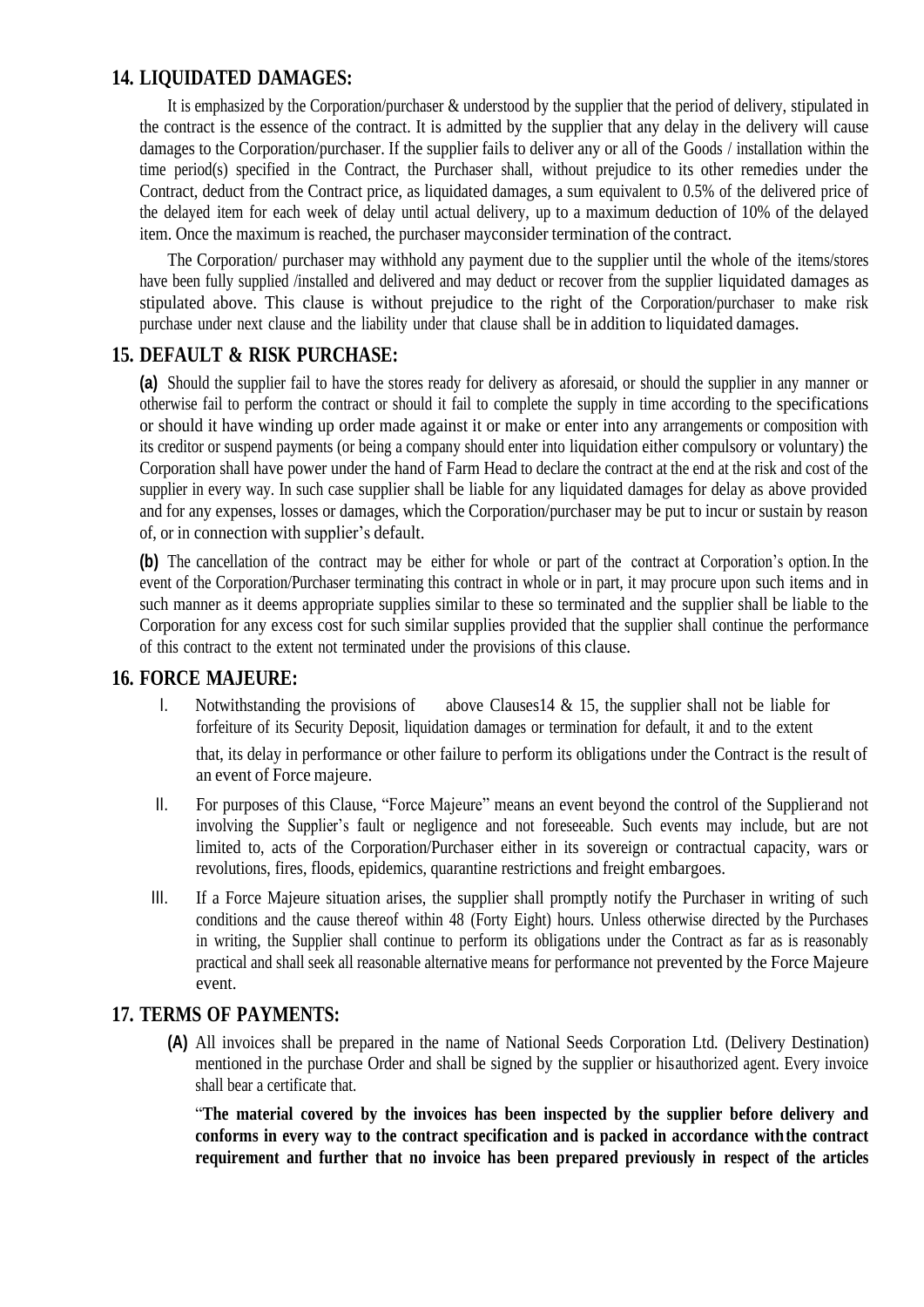# **14. LIQUIDATED DAMAGES:**

It is emphasized by the Corporation/purchaser & understood by the supplier that the period of delivery, stipulated in the contract is the essence of the contract. It is admitted by the supplier that any delay in the delivery will cause damages to the Corporation/purchaser. If the supplier fails to deliver any or all of the Goods / installation within the time period(s) specified in the Contract, the Purchaser shall, without prejudice to its other remedies under the Contract, deduct from the Contract price, as liquidated damages, a sum equivalent to 0.5% of the delivered price of the delayed item for each week of delay until actual delivery, up to a maximum deduction of 10% of the delayed item. Once the maximum is reached, the purchaser mayconsider termination of the contract.

The Corporation/ purchaser may withhold any payment due to the supplier until the whole of the items/stores have been fully supplied /installed and delivered and may deduct or recover from the supplier liquidated damages as stipulated above. This clause is without prejudice to the right of the Corporation/purchaser to make risk purchase under next clause and the liability under that clause shall be in addition to liquidated damages.

# **15. DEFAULT & RISK PURCHASE:**

**(a)** Should the supplier fail to have the stores ready for delivery as aforesaid, or should the supplier in any manner or otherwise fail to perform the contract or should it fail to complete the supply in time according to the specifications or should it have winding up order made against it or make or enter into any arrangements or composition with its creditor or suspend payments (or being a company should enter into liquidation either compulsory or voluntary) the Corporation shall have power under the hand of Farm Head to declare the contract at the end at the risk and cost of the supplier in every way. In such case supplier shall be liable for any liquidated damages for delay as above provided and for any expenses, losses or damages, which the Corporation/purchaser may be put to incur or sustain by reason of, or in connection with supplier"s default.

**(b)** The cancellation of the contract may be either for whole or part of the contract at Corporation"s option.In the event of the Corporation/Purchaser terminating this contract in whole or in part, it may procure upon such items and in such manner as it deems appropriate supplies similar to these so terminated and the supplier shall be liable to the Corporation for any excess cost for such similar supplies provided that the supplier shall continue the performance of this contract to the extent not terminated under the provisions of this clause.

# **16. FORCE MAJEURE:**

- I. Notwithstanding the provisions of above Clauses 14 & 15, the supplier shall not be liable for forfeiture of its Security Deposit, liquidation damages or termination for default, it and to the extent that, its delay in performance or other failure to perform its obligations under the Contract is the result of an event of Force majeure.
- II. For purposes of this Clause, "Force Majeure" means an event beyond the control of the Supplierand not involving the Supplier's fault or negligence and not foreseeable. Such events may include, but are not limited to, acts of the Corporation/Purchaser either in its sovereign or contractual capacity, wars or revolutions, fires, floods, epidemics, quarantine restrictions and freight embargoes.
- III. If a Force Majeure situation arises, the supplier shall promptly notify the Purchaser in writing of such conditions and the cause thereof within 48 (Forty Eight) hours. Unless otherwise directed by the Purchases in writing, the Supplier shall continue to perform its obligations under the Contract as far as is reasonably practical and shall seek all reasonable alternative means for performance not prevented by the Force Majeure event.

# **17. TERMS OF PAYMENTS:**

**(A)** All invoices shall be prepared in the name of National Seeds Corporation Ltd. (Delivery Destination) mentioned in the purchase Order and shall be signed by the supplier or hisauthorized agent. Every invoice shall bear a certificate that.

"**The material covered by the invoices has been inspected by the supplier before delivery and conforms in every way to the contract specification and is packed in accordance withthe contract requirement and further that no invoice has been prepared previously in respect of the articles**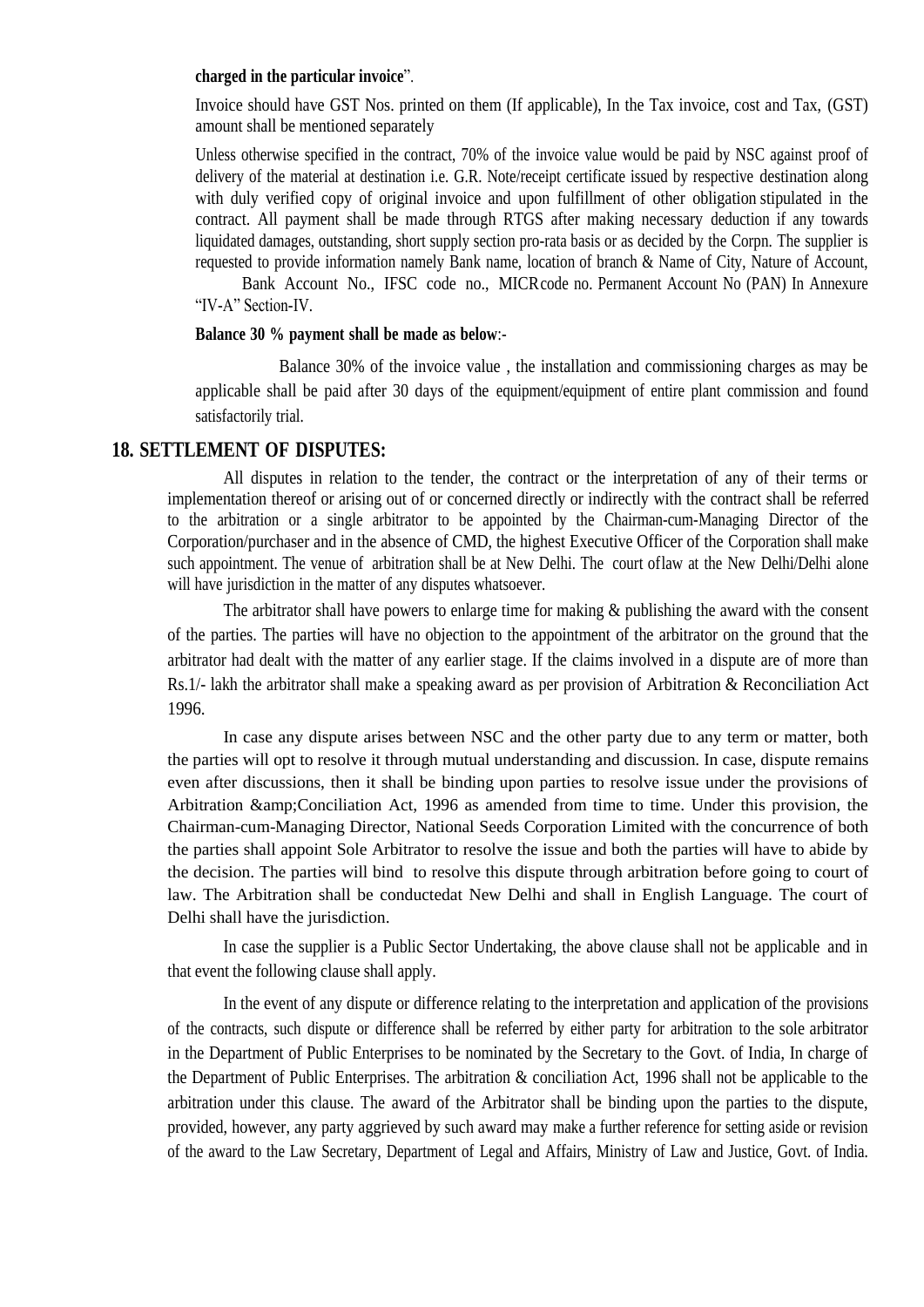#### **charged in the particular invoice**".

Invoice should have GST Nos. printed on them (If applicable), In the Tax invoice, cost and Tax, (GST) amount shall be mentioned separately

Unless otherwise specified in the contract, 70% of the invoice value would be paid by NSC against proof of delivery of the material at destination i.e. G.R. Note/receipt certificate issued by respective destination along with duly verified copy of original invoice and upon fulfillment of other obligation stipulated in the contract. All payment shall be made through RTGS after making necessary deduction if any towards liquidated damages, outstanding, short supply section pro-rata basis or as decided by the Corpn. The supplier is requested to provide information namely Bank name, location of branch & Name of City, Nature of Account,

Bank Account No., IFSC code no., MICRcode no. Permanent Account No (PAN) In Annexure "IV-A" Section-IV.

#### **Balance 30 % payment shall be made as below**:-

Balance 30% of the invoice value , the installation and commissioning charges as may be applicable shall be paid after 30 days of the equipment/equipment of entire plant commission and found satisfactorily trial.

#### **18. SETTLEMENT OF DISPUTES:**

All disputes in relation to the tender, the contract or the interpretation of any of their terms or implementation thereof or arising out of or concerned directly or indirectly with the contract shall be referred to the arbitration or a single arbitrator to be appointed by the Chairman-cum-Managing Director of the Corporation/purchaser and in the absence of CMD, the highest Executive Officer of the Corporation shall make such appointment. The venue of arbitration shall be at New Delhi. The court oflaw at the New Delhi/Delhi alone will have jurisdiction in the matter of any disputes whatsoever.

The arbitrator shall have powers to enlarge time for making & publishing the award with the consent of the parties. The parties will have no objection to the appointment of the arbitrator on the ground that the arbitrator had dealt with the matter of any earlier stage. If the claims involved in a dispute are of more than Rs.1/- lakh the arbitrator shall make a speaking award as per provision of Arbitration & Reconciliation Act 1996.

In case any dispute arises between NSC and the other party due to any term or matter, both the parties will opt to resolve it through mutual understanding and discussion. In case, dispute remains even after discussions, then it shall be binding upon parties to resolve issue under the provisions of Arbitration & Conciliation Act, 1996 as amended from time to time. Under this provision, the Chairman-cum-Managing Director, National Seeds Corporation Limited with the concurrence of both the parties shall appoint Sole Arbitrator to resolve the issue and both the parties will have to abide by the decision. The parties will bind to resolve this dispute through arbitration before going to court of law. The Arbitration shall be conductedat New Delhi and shall in English Language. The court of Delhi shall have the jurisdiction.

In case the supplier is a Public Sector Undertaking, the above clause shall not be applicable and in that event the following clause shall apply.

In the event of any dispute or difference relating to the interpretation and application of the provisions of the contracts, such dispute or difference shall be referred by either party for arbitration to the sole arbitrator in the Department of Public Enterprises to be nominated by the Secretary to the Govt. of India, In charge of the Department of Public Enterprises. The arbitration & conciliation Act, 1996 shall not be applicable to the arbitration under this clause. The award of the Arbitrator shall be binding upon the parties to the dispute, provided, however, any party aggrieved by such award may make a further reference for setting aside or revision of the award to the Law Secretary, Department of Legal and Affairs, Ministry of Law and Justice, Govt. of India.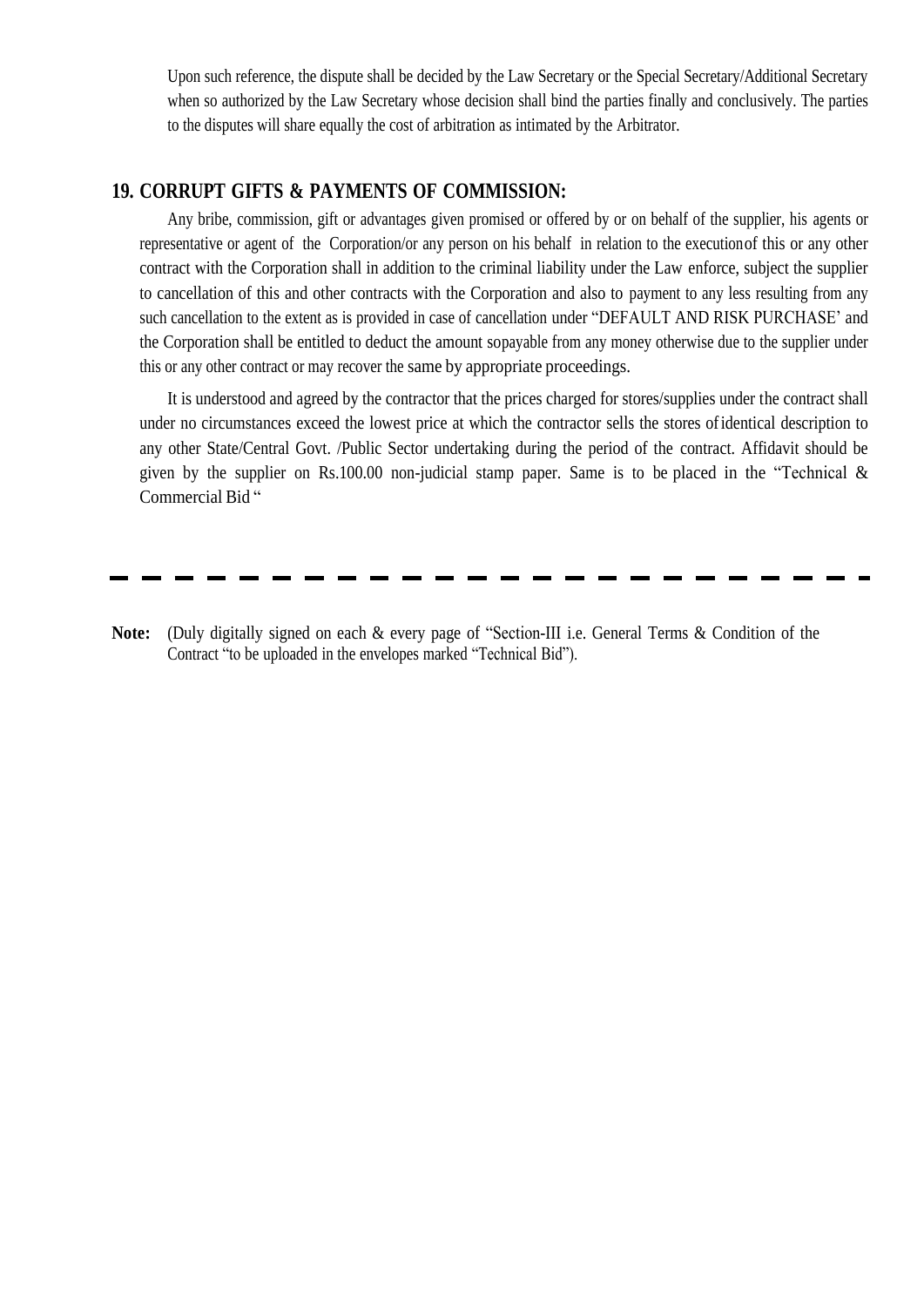Upon such reference, the dispute shall be decided by the Law Secretary or the Special Secretary/Additional Secretary when so authorized by the Law Secretary whose decision shall bind the parties finally and conclusively. The parties to the disputes will share equally the cost of arbitration as intimated by the Arbitrator.

#### **19. CORRUPT GIFTS & PAYMENTS OF COMMISSION:**

Any bribe, commission, gift or advantages given promised or offered by or on behalf of the supplier, his agents or representative or agent of the Corporation/or any person on his behalf in relation to the executionof this or any other contract with the Corporation shall in addition to the criminal liability under the Law enforce, subject the supplier to cancellation of this and other contracts with the Corporation and also to payment to any less resulting from any such cancellation to the extent as is provided in case of cancellation under "DEFAULT AND RISK PURCHASE" and the Corporation shall be entitled to deduct the amount sopayable from any money otherwise due to the supplier under this or any other contract or may recover the same by appropriate proceedings.

It is understood and agreed by the contractor that the prices charged for stores/supplies under the contract shall under no circumstances exceed the lowest price at which the contractor sells the stores ofidentical description to any other State/Central Govt. /Public Sector undertaking during the period of the contract. Affidavit should be given by the supplier on Rs.100.00 non-judicial stamp paper. Same is to be placed in the "Technical  $\&$ Commercial Bid "

**Note:** (Duly digitally signed on each & every page of "Section-III i.e. General Terms & Condition of the Contract "to be uploaded in the envelopes marked "Technical Bid").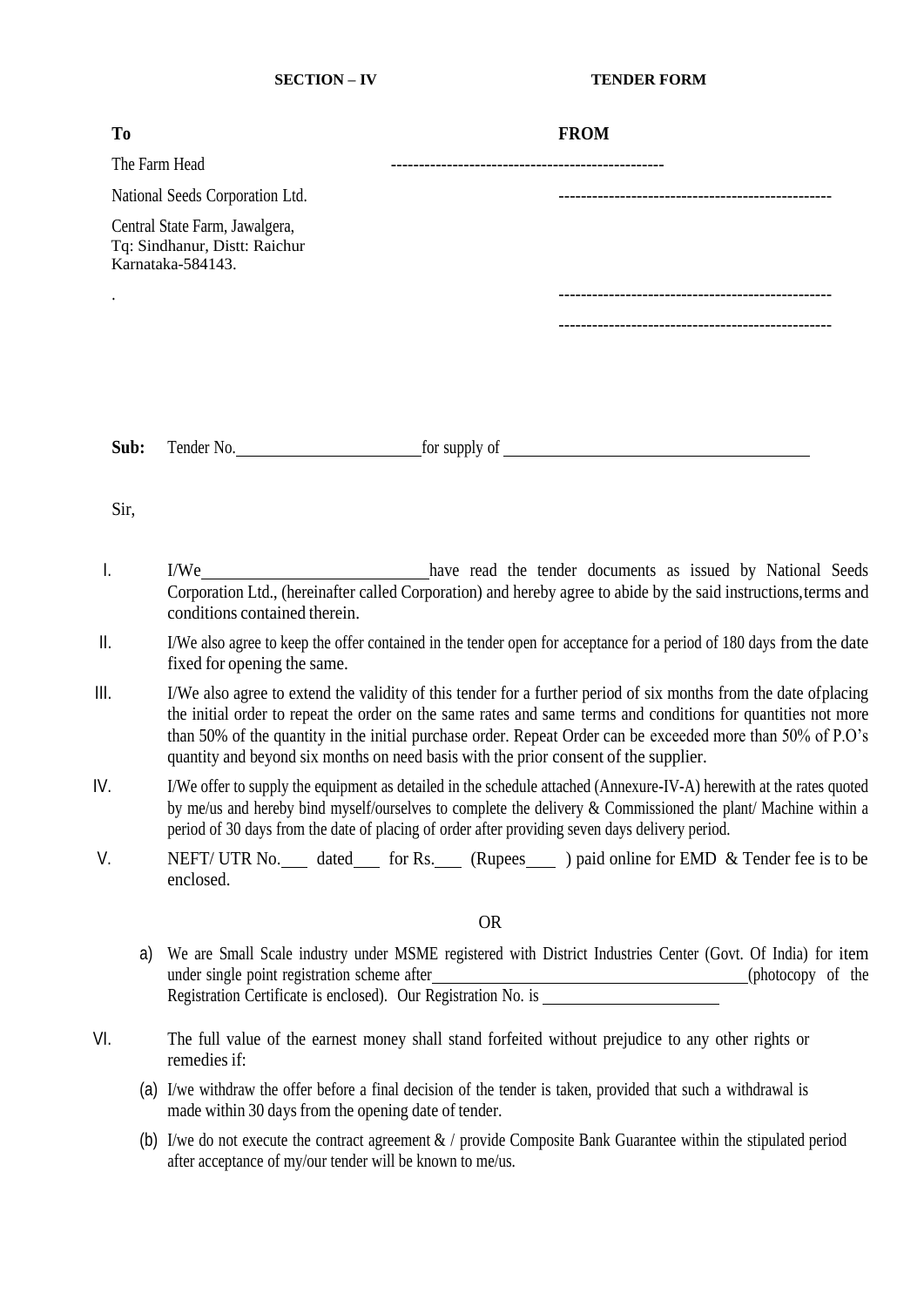<span id="page-18-0"></span>

| T <sub>0</sub> | <b>FROM</b>                                                                                                                                                                                                                                                                                                                                                                                                                               |
|----------------|-------------------------------------------------------------------------------------------------------------------------------------------------------------------------------------------------------------------------------------------------------------------------------------------------------------------------------------------------------------------------------------------------------------------------------------------|
| The Farm Head  |                                                                                                                                                                                                                                                                                                                                                                                                                                           |
|                | National Seeds Corporation Ltd.                                                                                                                                                                                                                                                                                                                                                                                                           |
|                | Central State Farm, Jawalgera,<br>Tq: Sindhanur, Distt: Raichur<br>Karnataka-584143.                                                                                                                                                                                                                                                                                                                                                      |
|                |                                                                                                                                                                                                                                                                                                                                                                                                                                           |
|                |                                                                                                                                                                                                                                                                                                                                                                                                                                           |
|                |                                                                                                                                                                                                                                                                                                                                                                                                                                           |
| Sub:           |                                                                                                                                                                                                                                                                                                                                                                                                                                           |
| Sir,           |                                                                                                                                                                                                                                                                                                                                                                                                                                           |
| I.             | have read the tender documents as issued by National Seeds<br>I/We<br>Corporation Ltd., (hereinafter called Corporation) and hereby agree to abide by the said instructions, terms and<br>conditions contained therein.                                                                                                                                                                                                                   |
| Ш.             | I/We also agree to keep the offer contained in the tender open for acceptance for a period of 180 days from the date<br>fixed for opening the same.                                                                                                                                                                                                                                                                                       |
| Ш.             | I/We also agree to extend the validity of this tender for a further period of six months from the date of placing<br>the initial order to repeat the order on the same rates and same terms and conditions for quantities not more<br>than 50% of the quantity in the initial purchase order. Repeat Order can be exceeded more than 50% of P.O's<br>quantity and beyond six months on need basis with the prior consent of the supplier. |
| IV.            | I/We offer to supply the equipment as detailed in the schedule attached (Annexure-IV-A) herewith at the rates quoted<br>by me/us and hereby bind myself/ourselves to complete the delivery & Commissioned the plant/ Machine within a<br>period of 30 days from the date of placing of order after providing seven days delivery period.                                                                                                  |
| V.             | NEFT/ UTR No. ___ dated____ for Rs. ___ (Rupees____ ) paid online for EMD & Tender fee is to be<br>enclosed.                                                                                                                                                                                                                                                                                                                              |
|                | <b>OR</b>                                                                                                                                                                                                                                                                                                                                                                                                                                 |
| a)             | We are Small Scale industry under MSME registered with District Industries Center (Govt. Of India) for item<br>under single point registration scheme after_<br>(photocopy of the<br>under single point registration scheme after<br>Registration Certificate is enclosed). Our Registration No. is                                                                                                                                       |
| VI.            | The full value of the earnest money shall stand forfeited without prejudice to any other rights or<br>remedies if:                                                                                                                                                                                                                                                                                                                        |
|                | (a) I/we withdraw the offer before a final decision of the tender is taken, provided that such a withdrawal is                                                                                                                                                                                                                                                                                                                            |

(a) I/we withdraw the offer before a final decision of the tender is taken, provided that such a withdrawal is made within 30 days from the opening date of tender.

(b) I/we do not execute the contract agreement & / provide Composite Bank Guarantee within the stipulated period after acceptance of my/our tender will be known to me/us.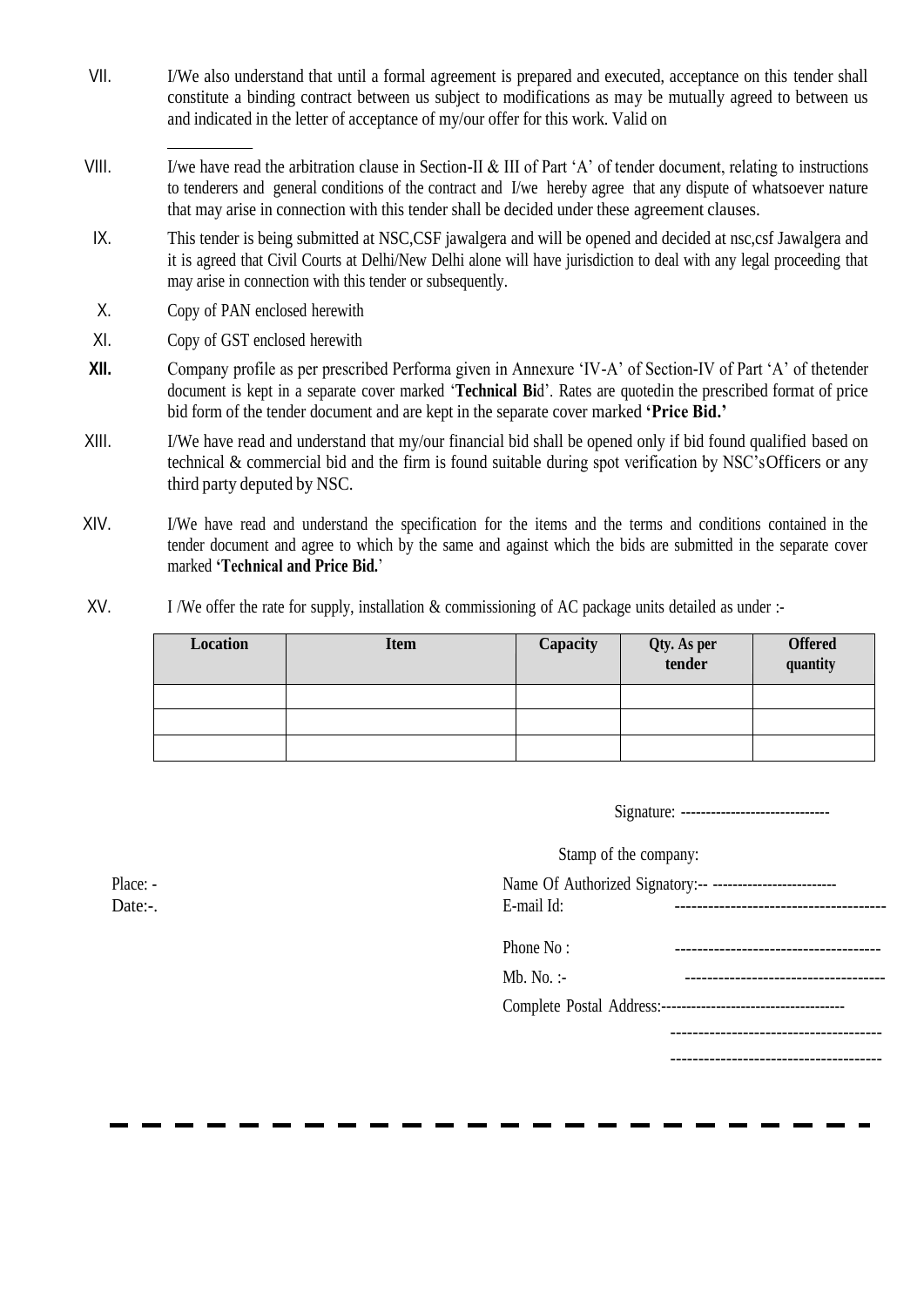- VII. I/We also understand that until a formal agreement is prepared and executed, acceptance on this tender shall constitute a binding contract between us subject to modifications as may be mutually agreed to between us and indicated in the letter of acceptance of my/our offer for this work. Valid on
- VIII. I/we have read the arbitration clause in Section-II & III of Part "A" of tender document, relating to instructions to tenderers and general conditions of the contract and I/we hereby agree that any dispute of whatsoever nature that may arise in connection with this tender shall be decided under these agreement clauses.
- IX. This tender is being submitted at NSC,CSF jawalgera and will be opened and decided at nsc,csf Jawalgera and it is agreed that Civil Courts at Delhi/New Delhi alone will have jurisdiction to deal with any legal proceeding that may arise in connection with this tender or subsequently.
- X. Copy of PAN enclosed herewith
- XI. Copy of GST enclosed herewith
- **XII.** Company profile as per prescribed Performa given in Annexure 'IV-A' of Section-IV of Part 'A' of thetender document is kept in a separate cover marked "**Technical Bi**d". Rates are quotedin the prescribed format of price bid form of the tender document and are kept in the separate cover marked **'Price Bid.'**
- XIII. I/We have read and understand that my/our financial bid shall be opened only if bid found qualified based on technical & commercial bid and the firm is found suitable during spot verification by NSC"sOfficers or any third party deputed by NSC.
- XIV. I/We have read and understand the specification for the items and the terms and conditions contained in the tender document and agree to which by the same and against which the bids are submitted in the separate cover marked **'Technical and Price Bid.**"
- XV. I /We offer the rate for supply, installation & commissioning of AC package units detailed as under :-

| Location | <b>Item</b> | Capacity | Qty. As per<br>tender | <b>Offered</b><br>quantity |
|----------|-------------|----------|-----------------------|----------------------------|
|          |             |          |                       |                            |
|          |             |          |                       |                            |
|          |             |          |                       |                            |

| Signature: | ----<br>------- |
|------------|-----------------|
|------------|-----------------|

|                     | Stamp of the company: |                                                                                                       |
|---------------------|-----------------------|-------------------------------------------------------------------------------------------------------|
| Place: -<br>Date:-. | E-mail Id:            | Name Of Authorized Signatory:-- ---------------------------<br>-------------------------------------- |
|                     | Phone No:             |                                                                                                       |
|                     | $Mb. No.$ :-          |                                                                                                       |
|                     |                       |                                                                                                       |
|                     |                       | .----------------------------                                                                         |
|                     |                       |                                                                                                       |
|                     |                       |                                                                                                       |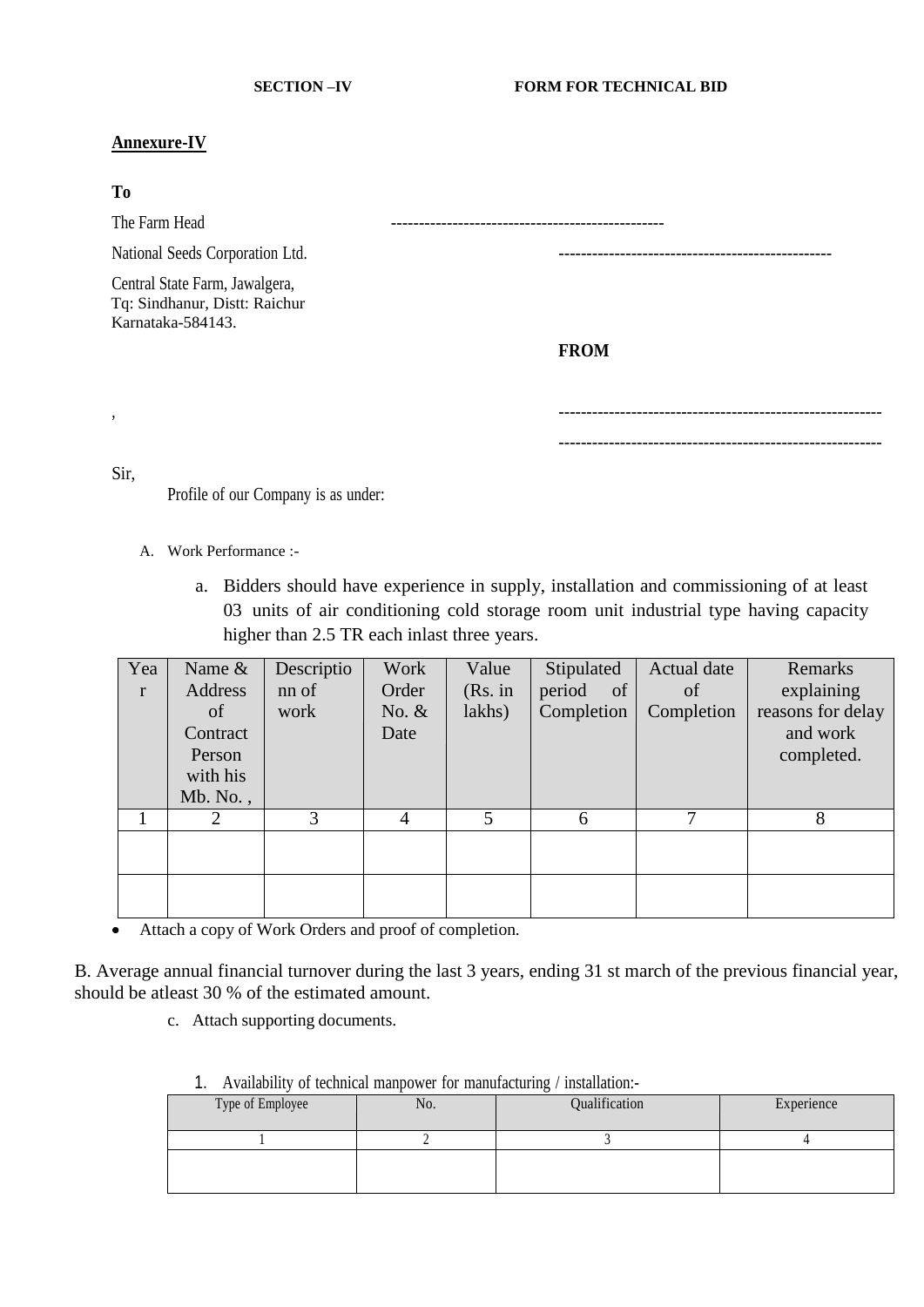#### <span id="page-20-0"></span>**Annexure-IV**

#### **To**

The Farm Head

National Seeds Corporation Ltd. -------------------------------------------------

Central State Farm, Jawalgera, Tq: Sindhanur, Distt: Raichur Karnataka-584143.

**FROM**

, ----------------------------------------------------------

----------------------------------------------------------

Sir,

Profile of our Company is as under:

- A. Work Performance :
	- a. Bidders should have experience in supply, installation and commissioning of at least 03 units of air conditioning cold storage room unit industrial type having capacity higher than 2.5 TR each inlast three years.

| Yea          | Name &   | Descriptio | Work    | Value   | Stipulated              | Actual date | Remarks           |
|--------------|----------|------------|---------|---------|-------------------------|-------------|-------------------|
| $\mathbf{r}$ | Address  | nn of      | Order   | (Rs. in | period<br><sub>of</sub> | of          | explaining        |
|              | of       | work       | No. $&$ | lakhs)  | Completion              | Completion  | reasons for delay |
|              | Contract |            | Date    |         |                         |             | and work          |
|              | Person   |            |         |         |                         |             | completed.        |
|              | with his |            |         |         |                         |             |                   |
|              | Mb. No., |            |         |         |                         |             |                   |
|              |          | 3          |         | 5       | 6                       | ┓           | 8                 |
|              |          |            |         |         |                         |             |                   |
|              |          |            |         |         |                         |             |                   |
|              |          |            |         |         |                         |             |                   |
|              |          |            |         |         |                         |             |                   |

Attach a copy of Work Orders and proof of completion.  $\bullet$ 

B. Average annual financial turnover during the last 3 years, ending 31 st march of the previous financial year, should be atleast 30 % of the estimated amount.

c. Attach supporting documents.

|  | Availability of technical manpower for manufacturing / installation:- |  |
|--|-----------------------------------------------------------------------|--|
|  |                                                                       |  |

| Type of Employee | No. | Qualification | Experience |
|------------------|-----|---------------|------------|
|                  |     |               |            |
|                  |     |               |            |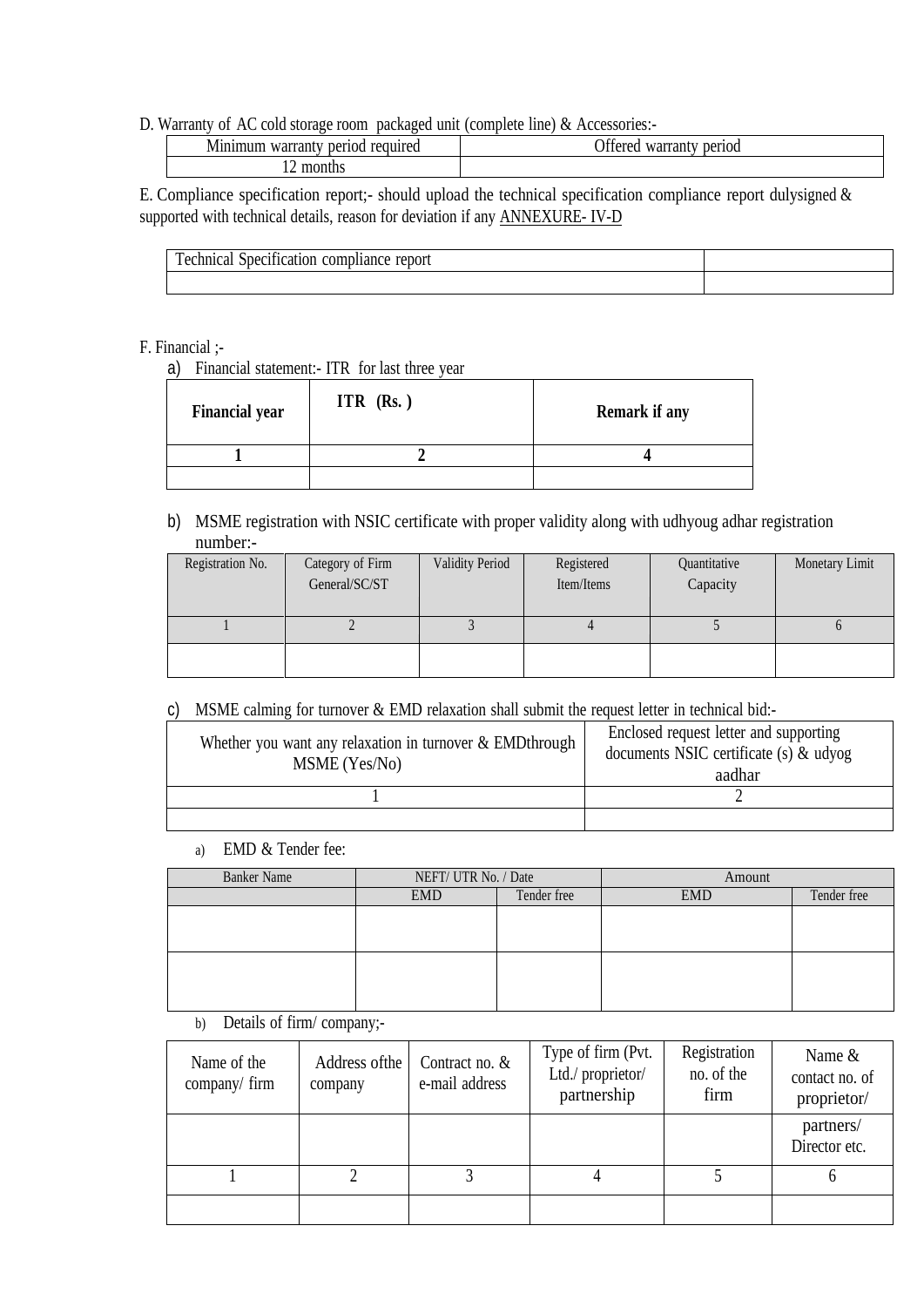#### D. Warranty of AC cold storage room packaged unit (complete line) & Accessories:-

|  | period<br>warran. | required |  |  | $\sim$ 00<br>period<br>$\sim$ 44 $\sim$<br>111044004<br>iail<br>۷đ۱.<br>ıсı |
|--|-------------------|----------|--|--|-----------------------------------------------------------------------------|
|  | month.            |          |  |  |                                                                             |

E. Compliance specification report;- should upload the technical specification compliance report dulysigned & supported with technical details, reason for deviation if any ANNEXURE- IV-D

| $\cdot$<br>m<br>محماه ما<br>report<br>янс |  |
|-------------------------------------------|--|
|                                           |  |

#### F. Financial ;-

a) Financial statement:- ITR for last three year

| <b>Financial year</b> | ITR $(Rs.)$ | <b>Remark if any</b> |
|-----------------------|-------------|----------------------|
|                       |             |                      |
|                       |             |                      |

b) MSME registration with NSIC certificate with proper validity along with udhyoug adhar registration number:-

| Registration No. | Category of Firm<br>General/SC/ST | Validity Period | Registered<br>Item/Items | Quantitative<br>Capacity | Monetary Limit |
|------------------|-----------------------------------|-----------------|--------------------------|--------------------------|----------------|
|                  |                                   |                 |                          |                          |                |
|                  |                                   |                 |                          |                          |                |

#### c) MSME calming for turnover & EMD relaxation shall submit the request letter in technical bid:-

| Whether you want any relaxation in turnover $&$ EMDthrough<br>MSME (Yes/No) | Enclosed request letter and supporting<br>documents NSIC certificate (s) $\&$ udyog<br>aadhar |  |
|-----------------------------------------------------------------------------|-----------------------------------------------------------------------------------------------|--|
|                                                                             |                                                                                               |  |
|                                                                             |                                                                                               |  |

a) EMD & Tender fee:

| <b>Banker Name</b> | NEFT/ UTR No. / Date |             | Amount     |             |
|--------------------|----------------------|-------------|------------|-------------|
|                    | <b>EMD</b>           | Tender free | <b>EMD</b> | Tender free |
|                    |                      |             |            |             |
|                    |                      |             |            |             |
|                    |                      |             |            |             |
|                    |                      |             |            |             |
|                    |                      |             |            |             |
|                    |                      |             |            |             |
|                    |                      |             |            |             |

b) Details of firm/ company;-

| Name of the<br>company/ $firm$ | Address of the<br>company | Contract no. $&$<br>e-mail address | Type of firm (Pvt.<br>Ltd./ proprietor/<br>partnership | Registration<br>no. of the<br>firm | Name $&$<br>contact no. of<br>proprietor/ |
|--------------------------------|---------------------------|------------------------------------|--------------------------------------------------------|------------------------------------|-------------------------------------------|
|                                |                           |                                    |                                                        |                                    | partners/<br>Director etc.                |
|                                |                           |                                    |                                                        |                                    |                                           |
|                                |                           |                                    |                                                        |                                    |                                           |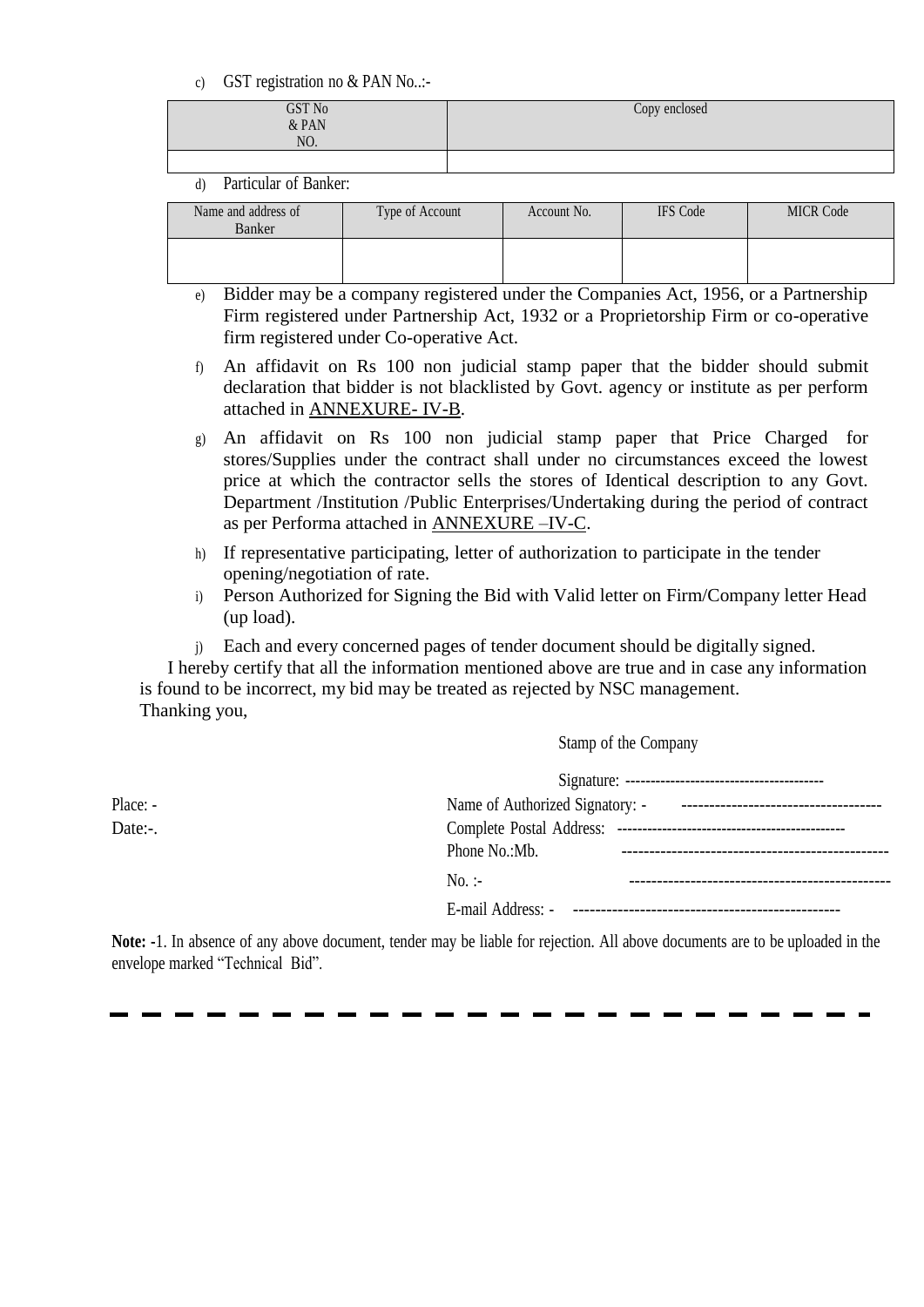c) GST registration no & PAN No..:-

| GST No<br>$&$ PAN<br>NO. | Copy enclosed |
|--------------------------|---------------|
|                          |               |

#### d) Particular of Banker:

| Name and address of<br>Banker | Type of Account | Account No. | <b>IFS</b> Code | <b>MICR Code</b> |
|-------------------------------|-----------------|-------------|-----------------|------------------|
|                               |                 |             |                 |                  |

- e) Bidder may be a company registered under the Companies Act, 1956, or a Partnership Firm registered under Partnership Act, 1932 or a Proprietorship Firm or co-operative firm registered under Co-operative Act.
- f) An affidavit on Rs 100 non judicial stamp paper that the bidder should submit declaration that bidder is not blacklisted by Govt. agency or institute as per perform attached in ANNEXURE- IV-B.
- g) An affidavit on Rs 100 non judicial stamp paper that Price Charged for stores/Supplies under the contract shall under no circumstances exceed the lowest price at which the contractor sells the stores of Identical description to any Govt. Department /Institution /Public Enterprises/Undertaking during the period of contract as per Performa attached in ANNEXURE –IV-C.
- h) If representative participating, letter of authorization to participate in the tender opening/negotiation of rate.
- i) Person Authorized for Signing the Bid with Valid letter on Firm/Company letter Head (up load).
- j) Each and every concerned pages of tender document should be digitally signed.

I hereby certify that all the information mentioned above are true and in case any information is found to be incorrect, my bid may be treated as rejected by NSC management. Thanking you,

Stamp of the Company

| Place: - | Name of Authorized Signatory: - The Contract Contract Contract Contract Contract Contract Contract Contract Contract Contract Contract Contract Contract Contract Contract Contract Contract Contract Contract Contract Contra |
|----------|--------------------------------------------------------------------------------------------------------------------------------------------------------------------------------------------------------------------------------|
| Date:-.  |                                                                                                                                                                                                                                |
|          | Phone No.: Mb.                                                                                                                                                                                                                 |
|          | $No.$ :-                                                                                                                                                                                                                       |
|          |                                                                                                                                                                                                                                |

**Note: -**1. In absence of any above document, tender may be liable for rejection. All above documents are to be uploaded in the envelope marked "Technical Bid".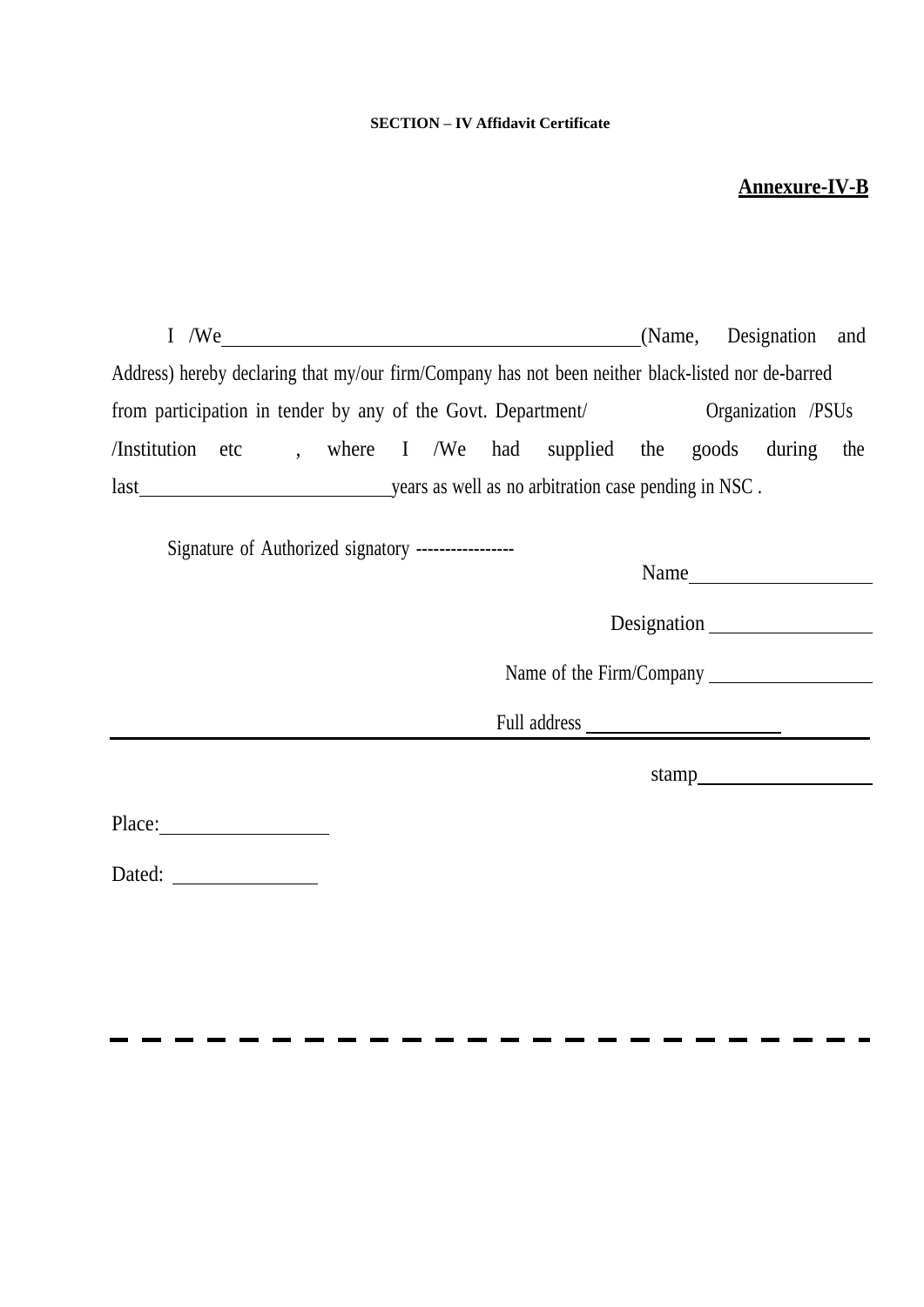#### **SECTION – IV Affidavit Certificate**

# **Annexure-IV-B**

<span id="page-23-0"></span>

| $I$ /We $\qquad$                                                                                   | (Name, Designation and |  |
|----------------------------------------------------------------------------------------------------|------------------------|--|
| Address) hereby declaring that my/our firm/Company has not been neither black-listed nor de-barred |                        |  |
| from participation in tender by any of the Govt. Department/ Organization /PSUs                    |                        |  |
| /Institution etc, where I /We had supplied the goods during the                                    |                        |  |
|                                                                                                    |                        |  |
| Signature of Authorized signatory -----------------                                                | Name<br>Designation    |  |
|                                                                                                    |                        |  |
|                                                                                                    |                        |  |
|                                                                                                    |                        |  |
| Dated:<br><u> 1980 - Johann Barnett, fransk kongre</u>                                             |                        |  |

r  $\mathbf{r}$   $\mathbf{r}$ 

 $\mathbf{r}$ 

 $\mathbf{r}$ 

 $\mathbf{r}$ . . . . ä,  $\mathbf{r}$  . . .

 $\blacksquare$  $\blacksquare$  a and  $\mathbf{r}$  $\blacksquare$  $\blacksquare$ - 11  $\blacksquare$  $\mathbf{r}$   $\mathbf{r}$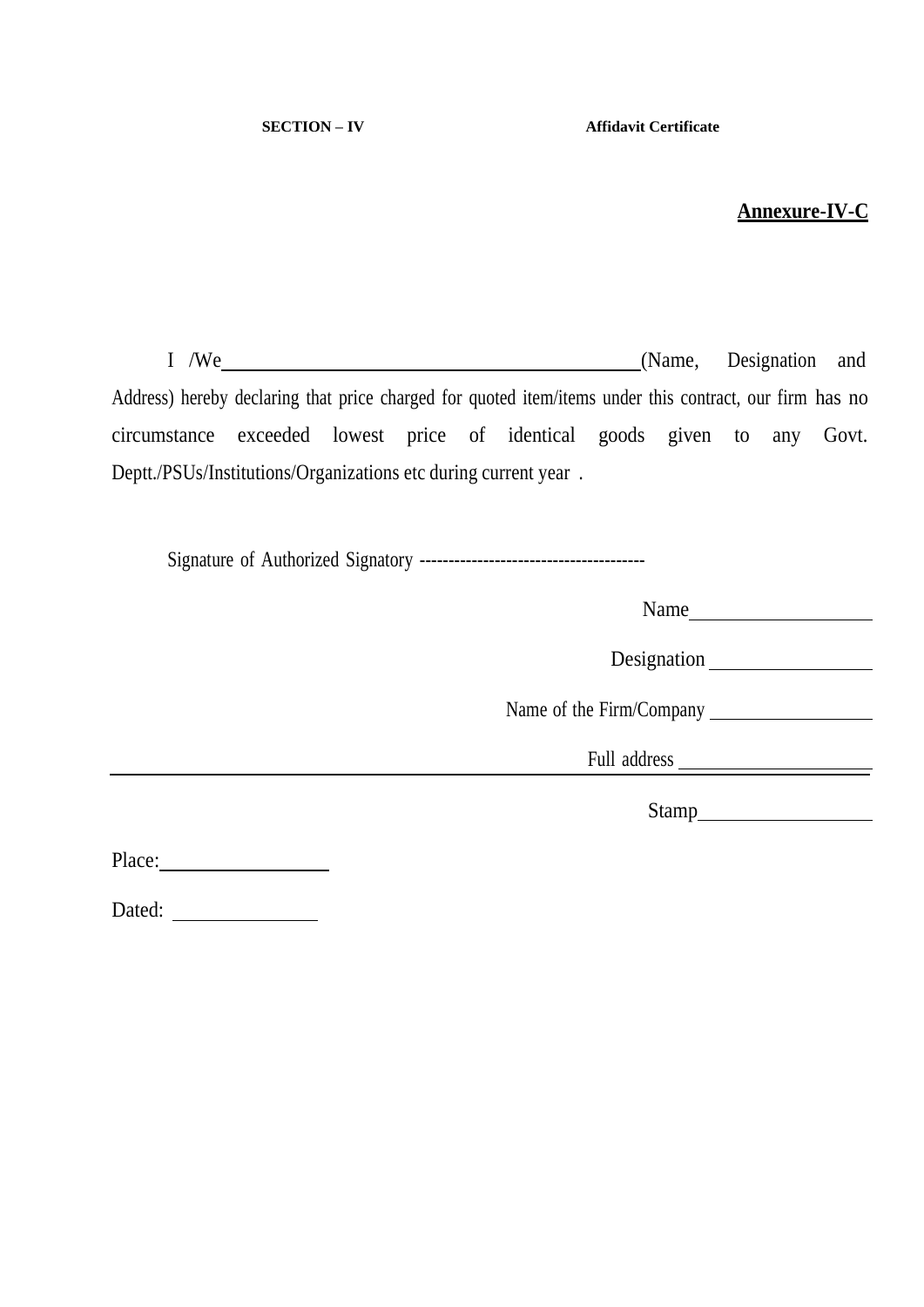# **Annexure-IV-C**

<span id="page-24-0"></span>I /We (Name, Designation and Address) hereby declaring that price charged for quoted item/items under this contract, our firm has no circumstance exceeded lowest price of identical goods given to any Govt. Deptt./PSUs/Institutions/Organizations etc during current year .

Signature of Authorized Signatory ---------------------------------------

Name

Designation

Name of the Firm/Company

Full address

Stamp and the stamp of the stamp of the stamp of the state  $\sim$ 

Place:

Dated: **Dated:**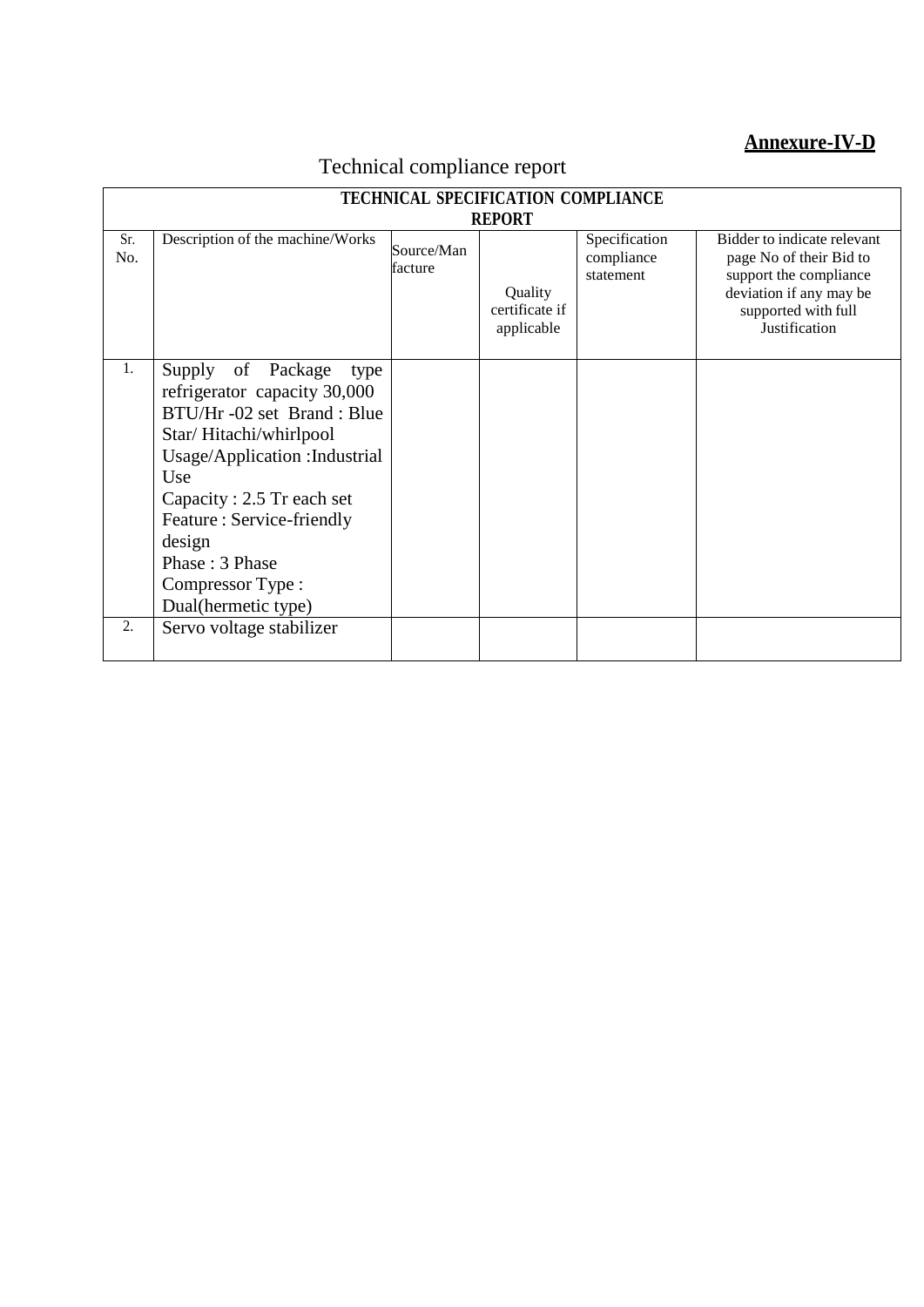# **Annexure-IV-D**

<span id="page-25-0"></span>

|            | <b>TECHNICAL SPECIFICATION COMPLIANCE</b>                                                                                                                                                                                                                                                   |                       |                                                          |                                          |                                                                                                                                                     |
|------------|---------------------------------------------------------------------------------------------------------------------------------------------------------------------------------------------------------------------------------------------------------------------------------------------|-----------------------|----------------------------------------------------------|------------------------------------------|-----------------------------------------------------------------------------------------------------------------------------------------------------|
| Sr.<br>No. | Description of the machine/Works                                                                                                                                                                                                                                                            | Source/Man<br>facture | <b>REPORT</b><br>Quality<br>certificate if<br>applicable | Specification<br>compliance<br>statement | Bidder to indicate relevant<br>page No of their Bid to<br>support the compliance<br>deviation if any may be<br>supported with full<br>Justification |
| 1.         | Supply of Package<br>type<br>refrigerator capacity 30,000<br>BTU/Hr -02 set Brand: Blue<br>Star/Hitachi/whirlpool<br>Usage/Application : Industrial<br>Use<br>Capacity: 2.5 Tr each set<br>Feature: Service-friendly<br>design<br>Phase: 3 Phase<br>Compressor Type:<br>Dual(hermetic type) |                       |                                                          |                                          |                                                                                                                                                     |
| 2.         | Servo voltage stabilizer                                                                                                                                                                                                                                                                    |                       |                                                          |                                          |                                                                                                                                                     |

# Technical compliance report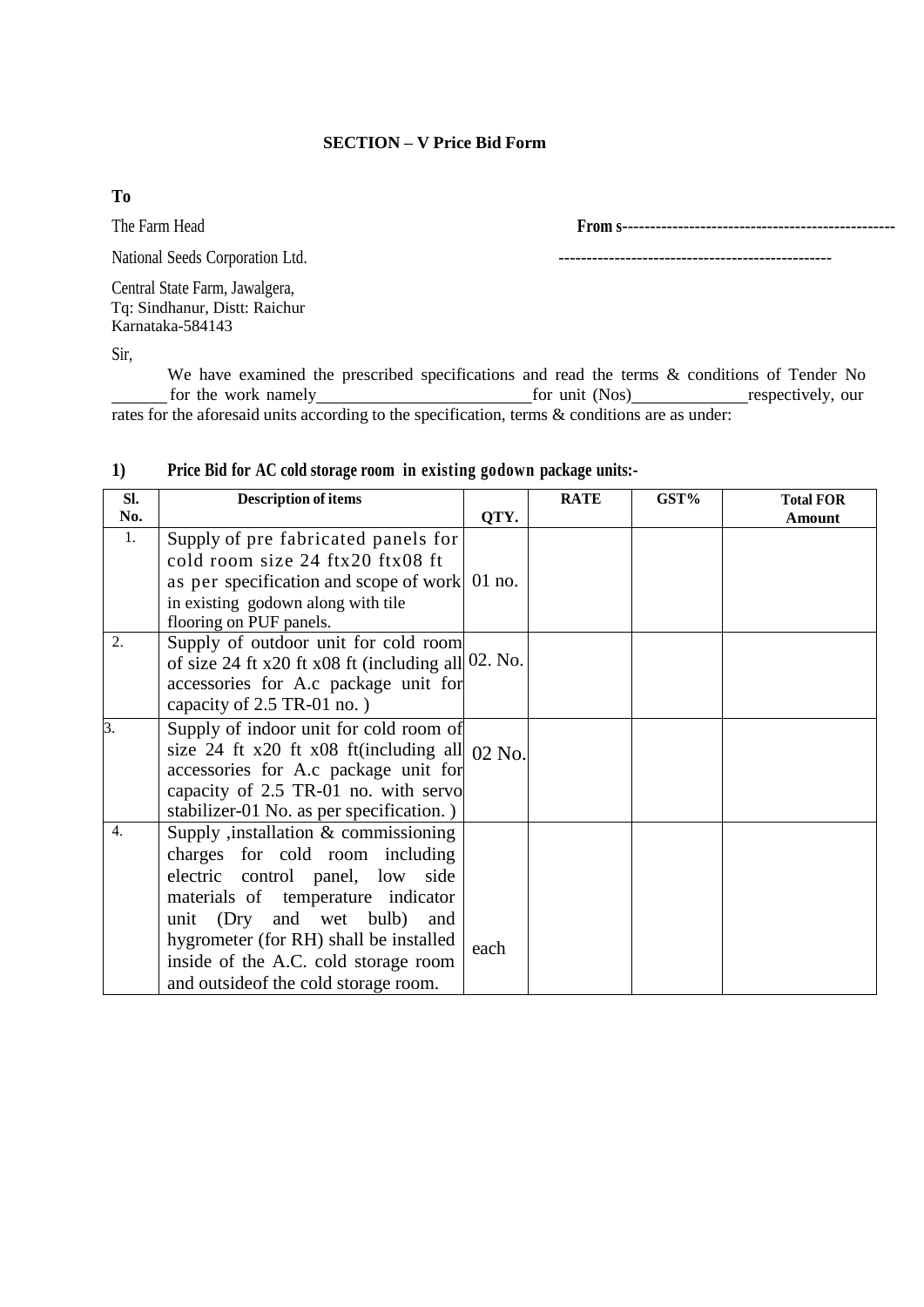#### **SECTION – V Price Bid Form**

**To**

The Farm Head **From s**-------------------------------------------------

National Seeds Corporation Ltd. -------------------------------------------------

Central State Farm, Jawalgera, Tq: Sindhanur, Distt: Raichur Karnataka-584143

Sir,

We have examined the prescribed specifications and read the terms & conditions of Tender No<br>for the work namely for unit (Nos) respectively, our for unit (Nos) respectively, our rates for the aforesaid units according to the specification, terms & conditions are as under:

| SI.              | <b>Description of items</b>                                                                                                                                                                                                                                                                                       |          | <b>RATE</b> | GST% | <b>Total FOR</b> |
|------------------|-------------------------------------------------------------------------------------------------------------------------------------------------------------------------------------------------------------------------------------------------------------------------------------------------------------------|----------|-------------|------|------------------|
| No.              |                                                                                                                                                                                                                                                                                                                   | QTY.     |             |      | Amount           |
| 1.               | Supply of pre fabricated panels for<br>cold room size 24 ftx20 ftx08 ft<br>as per specification and scope of work<br>in existing godown along with tile<br>flooring on PUF panels.                                                                                                                                | $01$ no. |             |      |                  |
| $\overline{2}$ . | Supply of outdoor unit for cold room<br>of size 24 ft x20 ft x08 ft (including all $02$ . No.<br>accessories for A.c package unit for<br>capacity of 2.5 TR-01 no.)                                                                                                                                               |          |             |      |                  |
| $\beta$ .        | Supply of indoor unit for cold room of<br>size 24 ft x20 ft x08 ft(including all $02$ No.<br>accessories for A.c package unit for<br>capacity of 2.5 TR-01 no. with servo<br>stabilizer-01 No. as per specification.)                                                                                             |          |             |      |                  |
| $\overline{4}$ . | Supply , installation $&$ commissioning<br>charges for cold room including<br>electric control panel, low side<br>materials of temperature indicator<br>unit (Dry and wet bulb)<br>and<br>hygrometer (for RH) shall be installed<br>inside of the A.C. cold storage room<br>and outside of the cold storage room. | each     |             |      |                  |

#### **1) Price Bid for AC cold storage room in existing godown package units:-**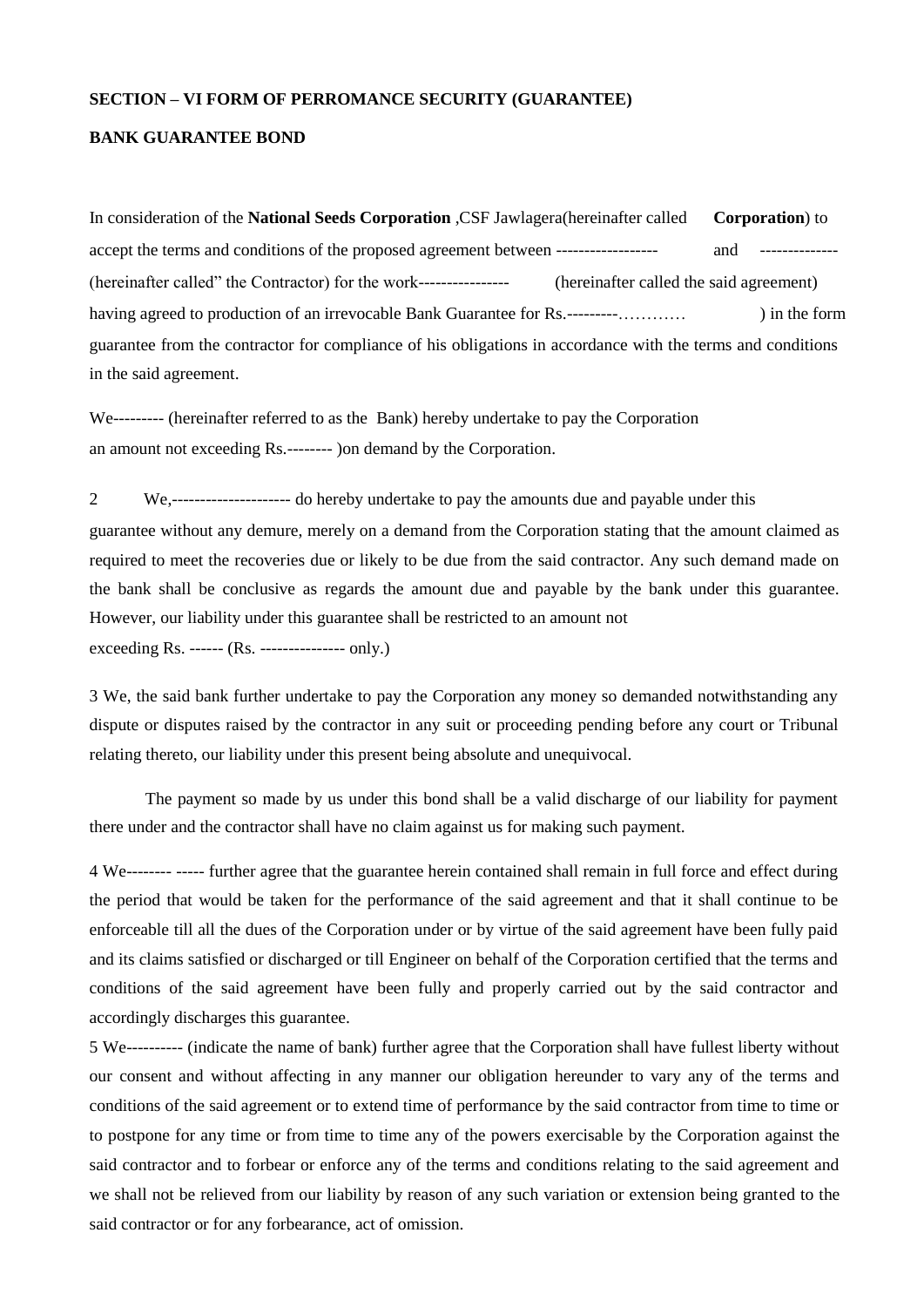#### **SECTION – VI FORM OF PERROMANCE SECURITY (GUARANTEE)**

#### **BANK GUARANTEE BOND**

In consideration of the **National Seeds Corporation** ,CSF Jawlagera(hereinafter called **Corporation**) to accept the terms and conditions of the proposed agreement between ------------------ and -------------- (hereinafter called" the Contractor) for the work---------------- (hereinafter called the said agreement) having agreed to production of an irrevocable Bank Guarantee for Rs.---------………… ) in the form guarantee from the contractor for compliance of his obligations in accordance with the terms and conditions in the said agreement.

We--------- (hereinafter referred to as the Bank) hereby undertake to pay the Corporation an amount not exceeding Rs.-------- )on demand by the Corporation.

2 We,--------------------- do hereby undertake to pay the amounts due and payable under this guarantee without any demure, merely on a demand from the Corporation stating that the amount claimed as required to meet the recoveries due or likely to be due from the said contractor. Any such demand made on the bank shall be conclusive as regards the amount due and payable by the bank under this guarantee. However, our liability under this guarantee shall be restricted to an amount not exceeding Rs. ------ (Rs. --------------- only.)

3 We, the said bank further undertake to pay the Corporation any money so demanded notwithstanding any dispute or disputes raised by the contractor in any suit or proceeding pending before any court or Tribunal relating thereto, our liability under this present being absolute and unequivocal.

The payment so made by us under this bond shall be a valid discharge of our liability for payment there under and the contractor shall have no claim against us for making such payment.

4 We-------- ----- further agree that the guarantee herein contained shall remain in full force and effect during the period that would be taken for the performance of the said agreement and that it shall continue to be enforceable till all the dues of the Corporation under or by virtue of the said agreement have been fully paid and its claims satisfied or discharged or till Engineer on behalf of the Corporation certified that the terms and conditions of the said agreement have been fully and properly carried out by the said contractor and accordingly discharges this guarantee.

5 We---------- (indicate the name of bank) further agree that the Corporation shall have fullest liberty without our consent and without affecting in any manner our obligation hereunder to vary any of the terms and conditions of the said agreement or to extend time of performance by the said contractor from time to time or to postpone for any time or from time to time any of the powers exercisable by the Corporation against the said contractor and to forbear or enforce any of the terms and conditions relating to the said agreement and we shall not be relieved from our liability by reason of any such variation or extension being granted to the said contractor or for any forbearance, act of omission.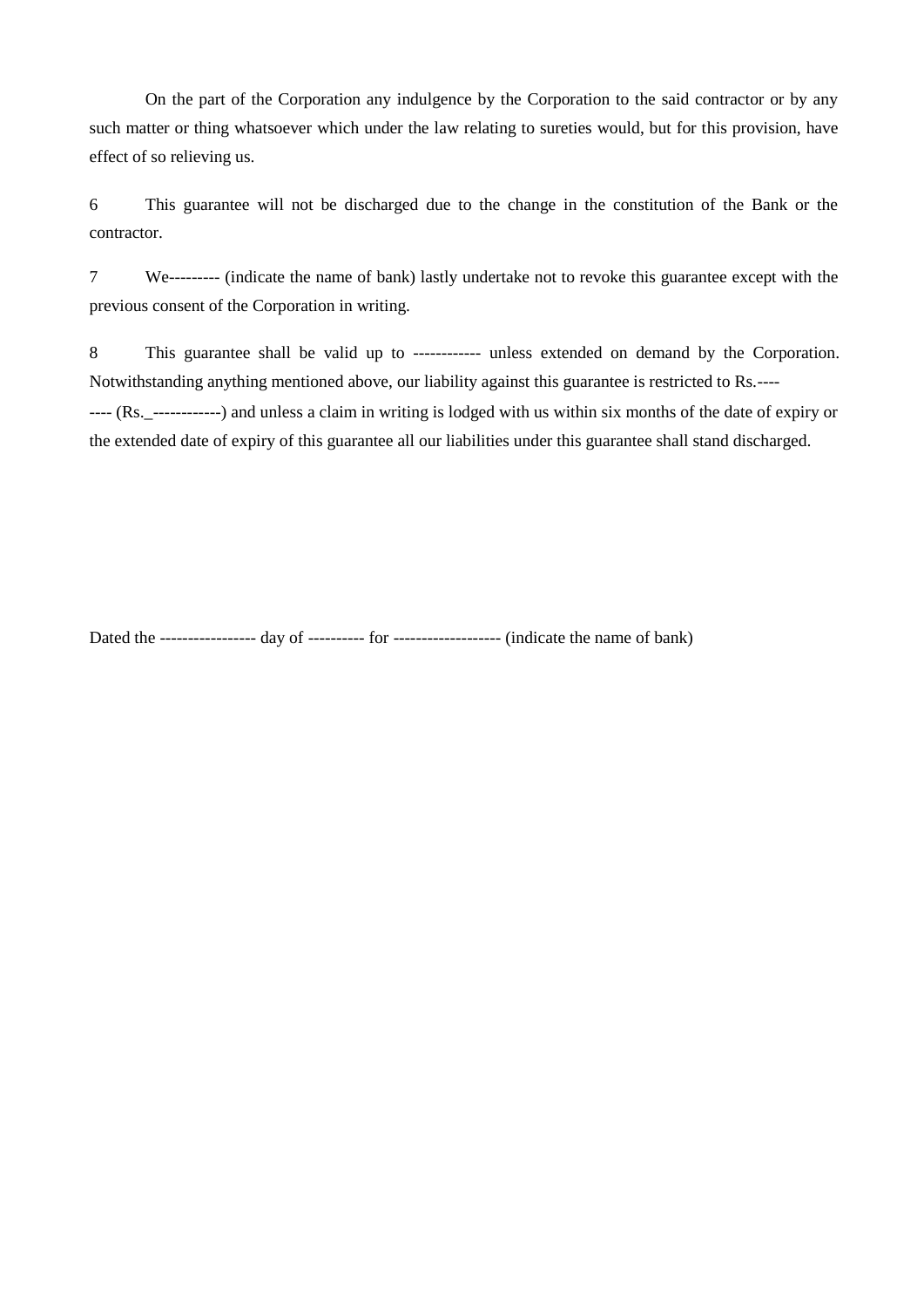On the part of the Corporation any indulgence by the Corporation to the said contractor or by any such matter or thing whatsoever which under the law relating to sureties would, but for this provision, have effect of so relieving us.

6 This guarantee will not be discharged due to the change in the constitution of the Bank or the contractor.

7 We--------- (indicate the name of bank) lastly undertake not to revoke this guarantee except with the previous consent of the Corporation in writing.

8 This guarantee shall be valid up to ------------ unless extended on demand by the Corporation. Notwithstanding anything mentioned above, our liability against this guarantee is restricted to Rs.----

---- (Rs.\_------------) and unless a claim in writing is lodged with us within six months of the date of expiry or the extended date of expiry of this guarantee all our liabilities under this guarantee shall stand discharged.

Dated the ----------------- day of ---------- for ------------------- (indicate the name of bank)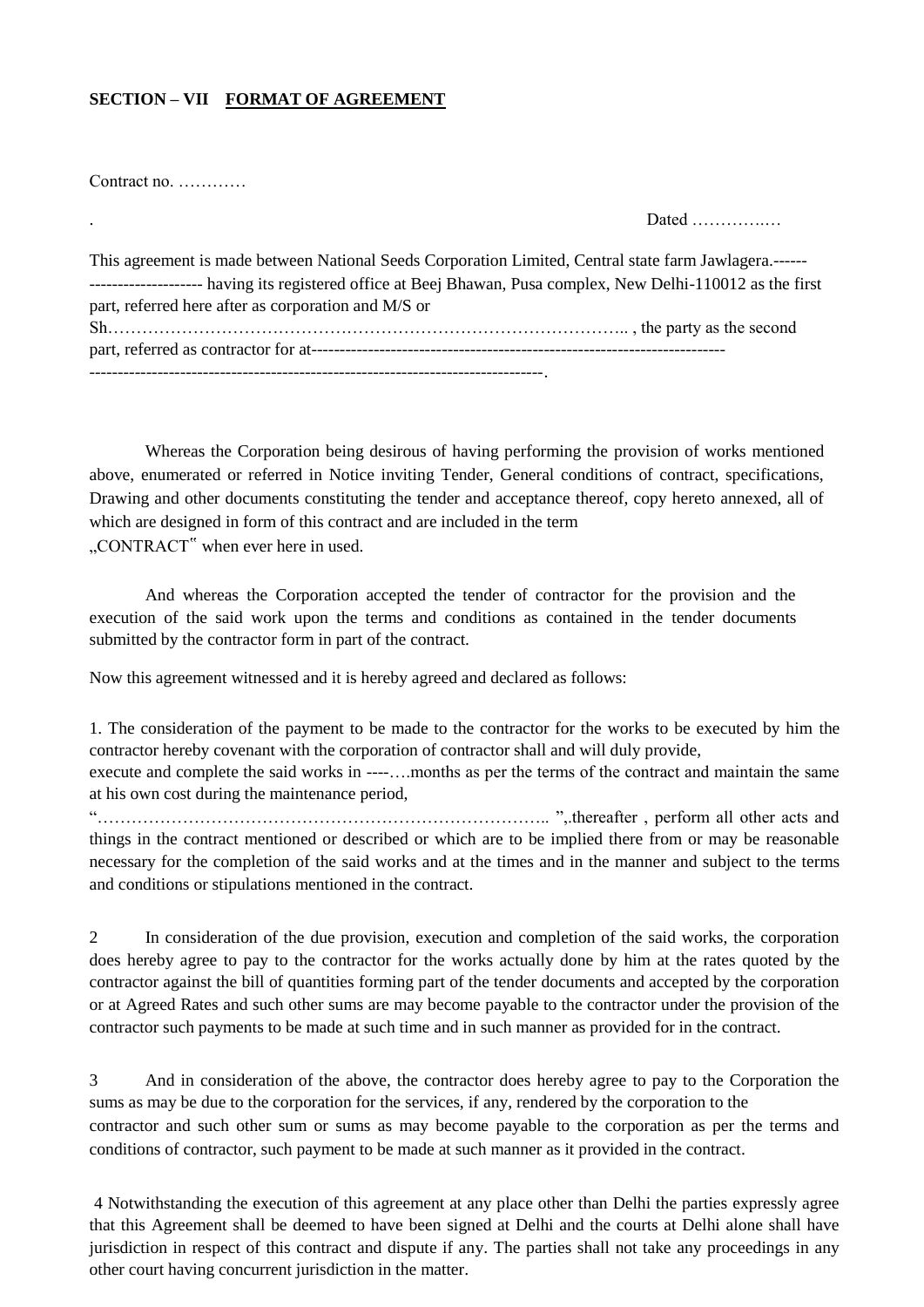#### **SECTION – VII FORMAT OF AGREEMENT**

Contract no.

Dated **Dates** 

| This agreement is made between National Seeds Corporation Limited, Central state farm Jawlagera.------         |
|----------------------------------------------------------------------------------------------------------------|
| --------------------- having its registered office at Beej Bhawan, Pusa complex, New Delhi-110012 as the first |
| part, referred here after as corporation and M/S or                                                            |
|                                                                                                                |
|                                                                                                                |
|                                                                                                                |

Whereas the Corporation being desirous of having performing the provision of works mentioned above, enumerated or referred in Notice inviting Tender, General conditions of contract, specifications, Drawing and other documents constituting the tender and acceptance thereof, copy hereto annexed, all of which are designed in form of this contract and are included in the term "CONTRACT" when ever here in used.

And whereas the Corporation accepted the tender of contractor for the provision and the execution of the said work upon the terms and conditions as contained in the tender documents submitted by the contractor form in part of the contract.

Now this agreement witnessed and it is hereby agreed and declared as follows:

1. The consideration of the payment to be made to the contractor for the works to be executed by him the contractor hereby covenant with the corporation of contractor shall and will duly provide, execute and complete the said works in ----….months as per the terms of the contract and maintain the same at his own cost during the maintenance period,

"…………………………………………………………………….. ",.thereafter , perform all other acts and things in the contract mentioned or described or which are to be implied there from or may be reasonable necessary for the completion of the said works and at the times and in the manner and subject to the terms and conditions or stipulations mentioned in the contract.

2 In consideration of the due provision, execution and completion of the said works, the corporation does hereby agree to pay to the contractor for the works actually done by him at the rates quoted by the contractor against the bill of quantities forming part of the tender documents and accepted by the corporation or at Agreed Rates and such other sums are may become payable to the contractor under the provision of the contractor such payments to be made at such time and in such manner as provided for in the contract.

3 And in consideration of the above, the contractor does hereby agree to pay to the Corporation the sums as may be due to the corporation for the services, if any, rendered by the corporation to the contractor and such other sum or sums as may become payable to the corporation as per the terms and conditions of contractor, such payment to be made at such manner as it provided in the contract.

4 Notwithstanding the execution of this agreement at any place other than Delhi the parties expressly agree that this Agreement shall be deemed to have been signed at Delhi and the courts at Delhi alone shall have jurisdiction in respect of this contract and dispute if any. The parties shall not take any proceedings in any other court having concurrent jurisdiction in the matter.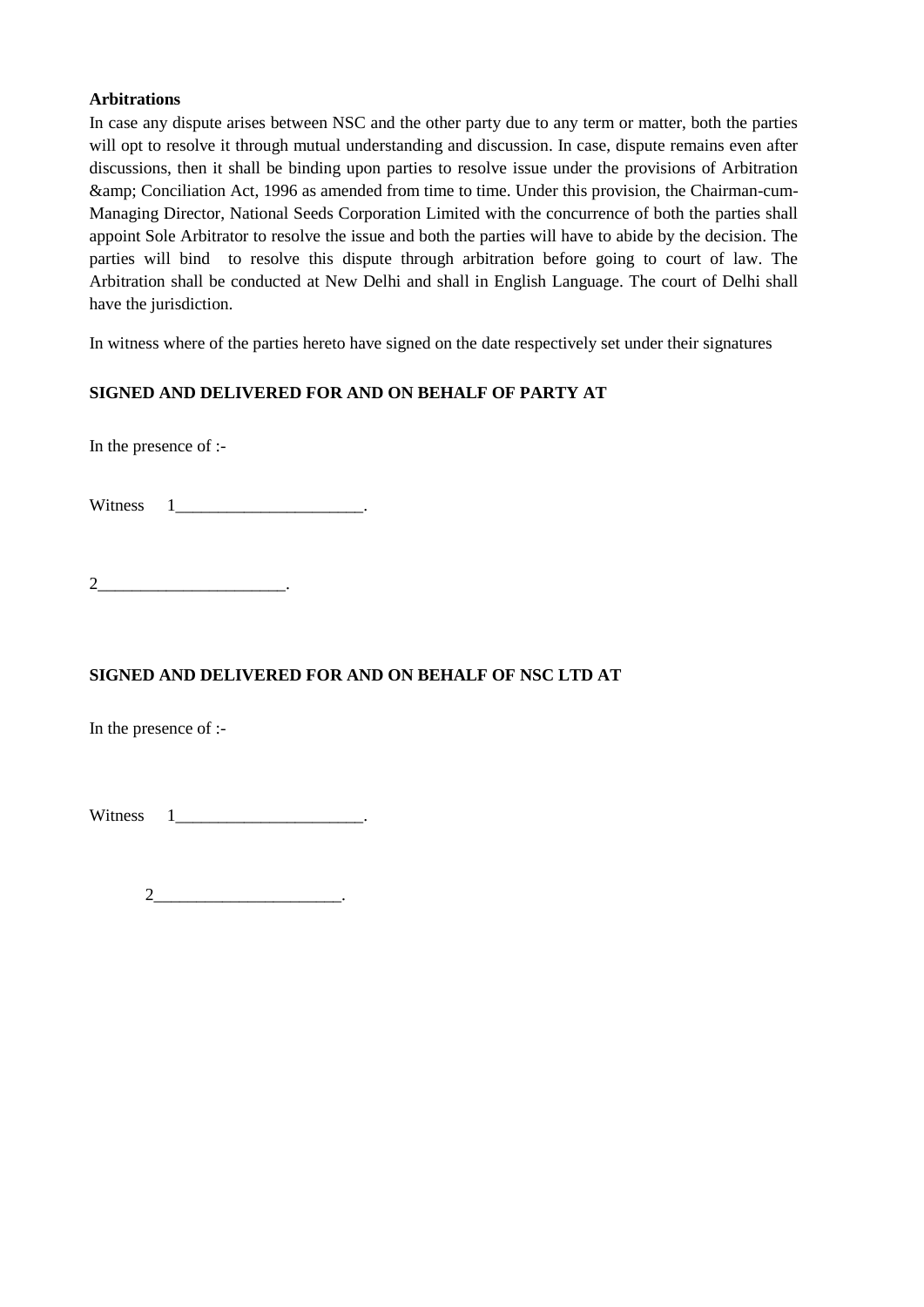#### **Arbitrations**

In case any dispute arises between NSC and the other party due to any term or matter, both the parties will opt to resolve it through mutual understanding and discussion. In case, dispute remains even after discussions, then it shall be binding upon parties to resolve issue under the provisions of Arbitration & Conciliation Act, 1996 as amended from time to time. Under this provision, the Chairman-cum-Managing Director, National Seeds Corporation Limited with the concurrence of both the parties shall appoint Sole Arbitrator to resolve the issue and both the parties will have to abide by the decision. The parties will bind to resolve this dispute through arbitration before going to court of law. The Arbitration shall be conducted at New Delhi and shall in English Language. The court of Delhi shall have the jurisdiction.

In witness where of the parties hereto have signed on the date respectively set under their signatures

#### **SIGNED AND DELIVERED FOR AND ON BEHALF OF PARTY AT**

In the presence of :-

Witness 1

 $2$ 

#### **SIGNED AND DELIVERED FOR AND ON BEHALF OF NSC LTD AT**

In the presence of :-

Witness  $1$  \_\_\_\_\_\_\_\_\_\_\_\_\_\_\_\_\_\_\_\_\_\_\_\_.

 $2$   $\qquad \qquad \ldots$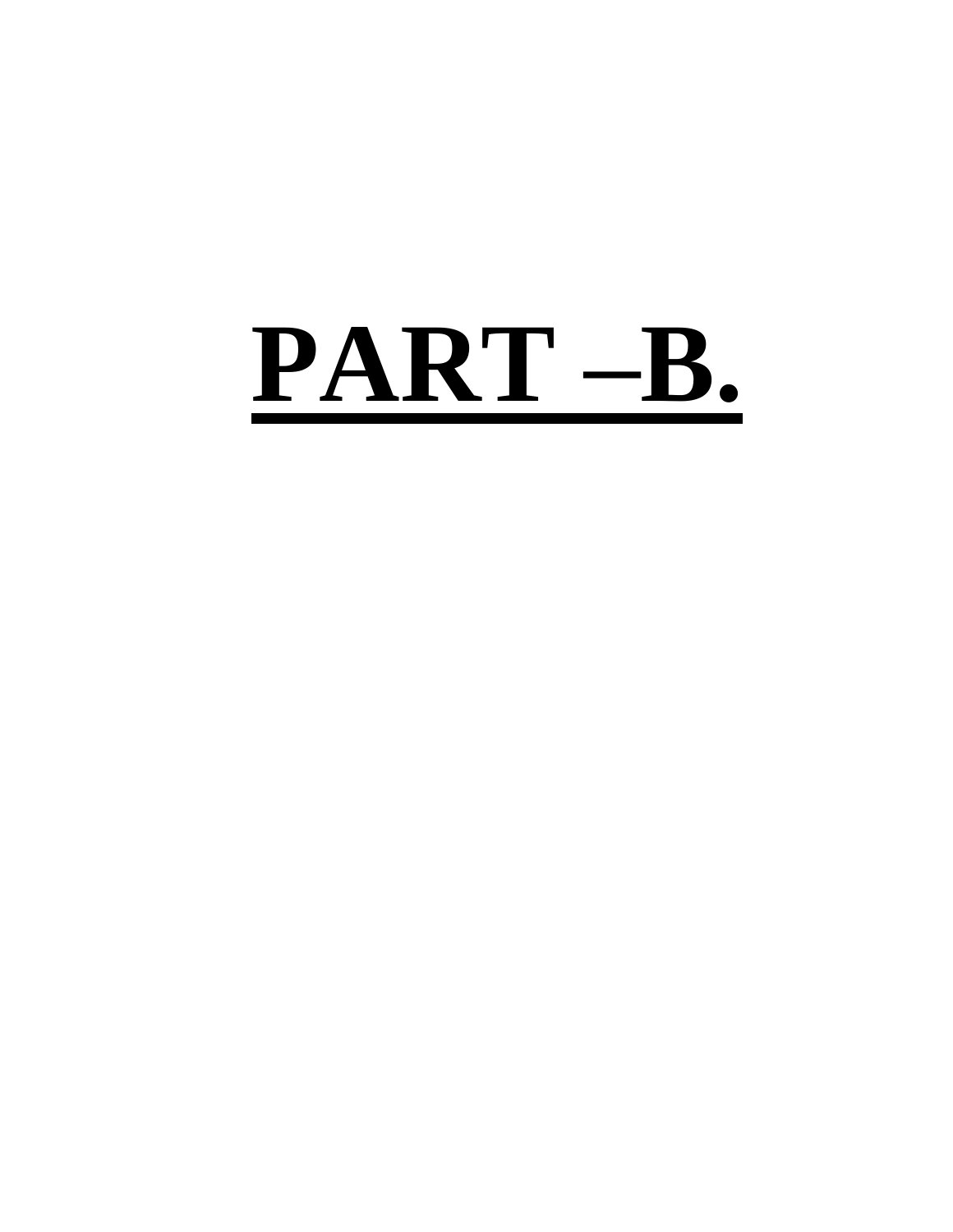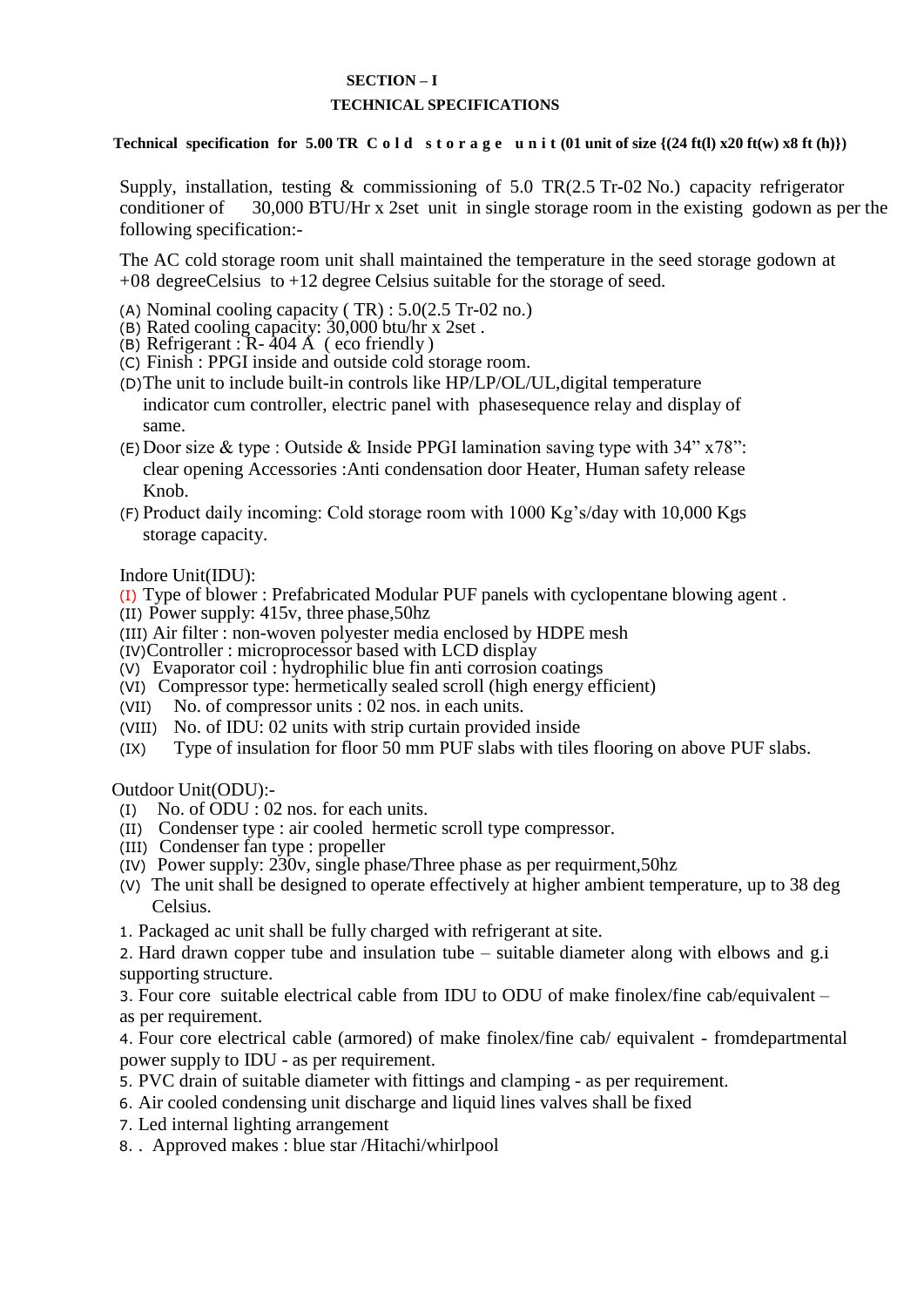#### **SECTION – I TECHNICAL SPECIFICATIONS**

<span id="page-32-1"></span><span id="page-32-0"></span> **Technical** specification for  $5.00$  **TR** C o l d s t o r a g e u n i t  $(01 \text{ unit of size } \{(24 \text{ ft}(l) \times 20 \text{ ft}(w) \times 8 \text{ ft}(h))\})$ 

Supply, installation, testing & commissioning of 5.0 TR(2.5 Tr-02 No.) capacity refrigerator conditioner of 30,000 BTU/Hr x 2set unit in single storage room in the existing godown as per the following specification:-

The AC cold storage room unit shall maintained the temperature in the seed storage godown at +08 degreeCelsius to +12 degree Celsius suitable for the storage of seed.

- (A) Nominal cooling capacity ( TR) : 5.0(2.5 Tr-02 no.)
- (B) Rated cooling capacity: 30,000 btu/hr x 2set .
- (B) Refrigerant :  $R 404$  Å (eco friendly)
- (C) Finish : PPGI inside and outside cold storage room.
- (D)The unit to include built-in controls like HP/LP/OL/UL,digital temperature indicator cum controller, electric panel with phasesequence relay and display of same.
- (E) Door size & type : Outside & Inside PPGI lamination saving type with  $34" x 78"$ : clear opening Accessories :Anti condensation door Heater, Human safety release Knob.
- (F) Product daily incoming: Cold storage room with 1000 Kg"s/day with 10,000 Kgs storage capacity.

Indore Unit(IDU):

- (I) Type of blower : Prefabricated Modular PUF panels with cyclopentane blowing agent .
- (II) Power supply: 415v, three phase,50hz
- (III) Air filter : non-woven polyester media enclosed by HDPE mesh
- (IV)Controller : microprocessor based with LCD display
- (V) Evaporator coil : hydrophilic blue fin anti corrosion coatings
- (VI) Compressor type: hermetically sealed scroll (high energy efficient)
- (VII) No. of compressor units : 02 nos. in each units.
- (VIII) No. of IDU: 02 units with strip curtain provided inside
- (IX) Type of insulation for floor 50 mm PUF slabs with tiles flooring on above PUF slabs.

Outdoor Unit(ODU):-

- (I) No. of ODU : 02 nos. for each units.
- (II) Condenser type : air cooled hermetic scroll type compressor.
- (III) Condenser fan type : propeller
- (IV) Power supply: 230v, single phase/Three phase as per requirment,50hz
- (V) The unit shall be designed to operate effectively at higher ambient temperature, up to 38 deg Celsius.
- 1. Packaged ac unit shall be fully charged with refrigerant at site.

2. Hard drawn copper tube and insulation tube – suitable diameter along with elbows and g.i supporting structure.

3. Four core suitable electrical cable from IDU to ODU of make finolex/fine cab/equivalent – as per requirement.

4. Four core electrical cable (armored) of make finolex/fine cab/ equivalent - fromdepartmental power supply to IDU - as per requirement.

- 5. PVC drain of suitable diameter with fittings and clamping as per requirement.
- 6. Air cooled condensing unit discharge and liquid lines valves shall be fixed
- 7. Led internal lighting arrangement
- 8. . Approved makes : blue star /Hitachi/whirlpool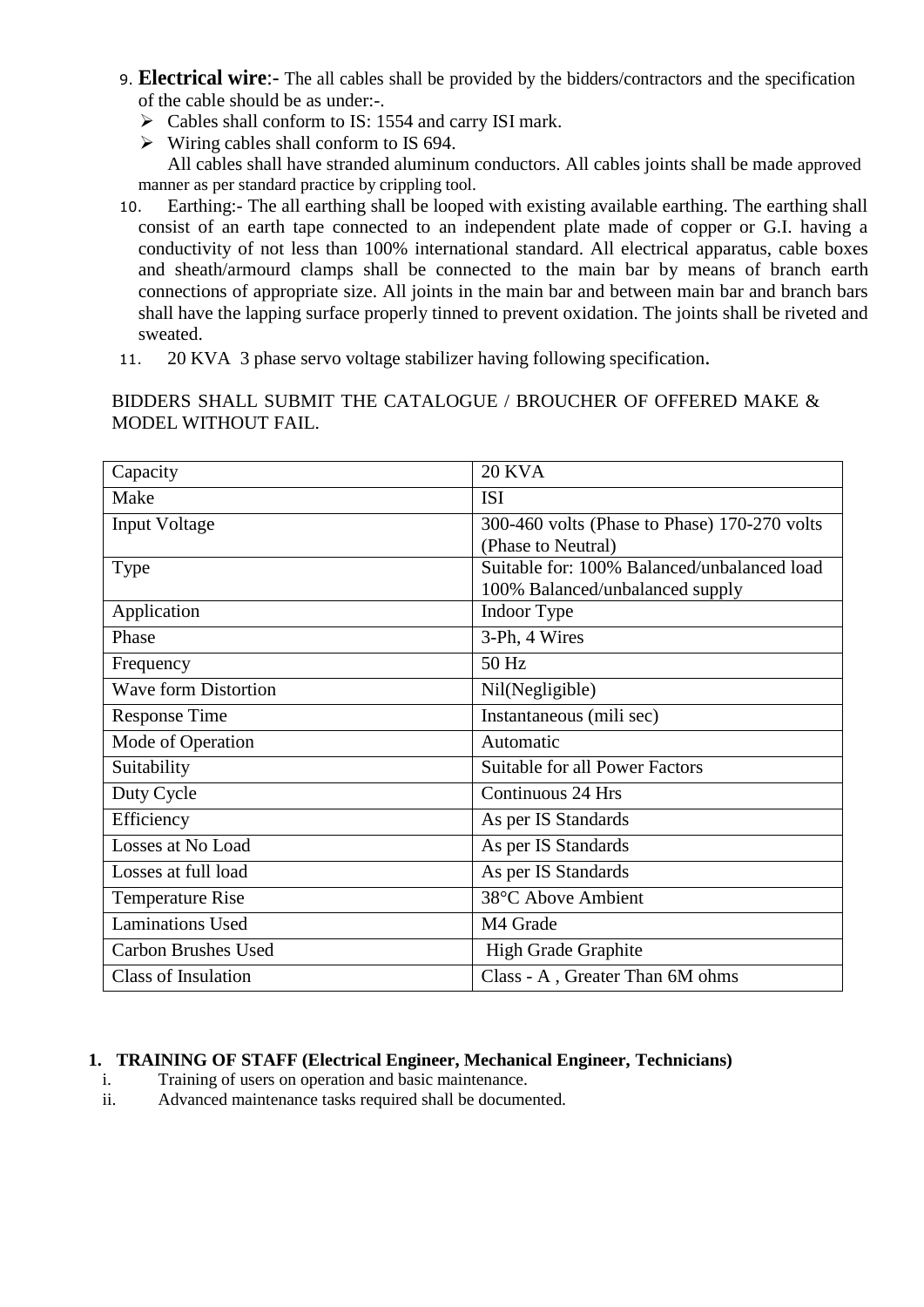- 9. **Electrical wire**:- The all cables shall be provided by the bidders/contractors and the specification of the cable should be as under:-.
	- $\triangleright$  Cables shall conform to IS: 1554 and carry ISI mark.
	- $\triangleright$  Wiring cables shall conform to IS 694.

All cables shall have stranded aluminum conductors. All cables joints shall be made approved manner as per standard practice by crippling tool.

- 10. Earthing:- The all earthing shall be looped with existing available earthing. The earthing shall consist of an earth tape connected to an independent plate made of copper or G.I. having a conductivity of not less than 100% international standard. All electrical apparatus, cable boxes and sheath/armourd clamps shall be connected to the main bar by means of branch earth connections of appropriate size. All joints in the main bar and between main bar and branch bars shall have the lapping surface properly tinned to prevent oxidation. The joints shall be riveted and sweated.
- 11. 20 KVA 3 phase servo voltage stabilizer having following specification.

BIDDERS SHALL SUBMIT THE CATALOGUE / BROUCHER OF OFFERED MAKE & MODEL WITHOUT FAIL.

| Capacity                    | <b>20 KVA</b>                                |
|-----------------------------|----------------------------------------------|
| Make                        | <b>ISI</b>                                   |
| <b>Input Voltage</b>        | 300-460 volts (Phase to Phase) 170-270 volts |
|                             | (Phase to Neutral)                           |
| Type                        | Suitable for: 100% Balanced/unbalanced load  |
|                             | 100% Balanced/unbalanced supply              |
| Application                 | Indoor Type                                  |
| Phase                       | 3-Ph, 4 Wires                                |
| Frequency                   | 50 Hz                                        |
| <b>Wave form Distortion</b> | Nil(Negligible)                              |
| <b>Response Time</b>        | Instantaneous (mili sec)                     |
| Mode of Operation           | Automatic                                    |
| Suitability                 | <b>Suitable for all Power Factors</b>        |
| Duty Cycle                  | Continuous 24 Hrs                            |
| Efficiency                  | As per IS Standards                          |
| Losses at No Load           | As per IS Standards                          |
| Losses at full load         | As per IS Standards                          |
| <b>Temperature Rise</b>     | 38°C Above Ambient                           |
| <b>Laminations Used</b>     | M4 Grade                                     |
| <b>Carbon Brushes Used</b>  | High Grade Graphite                          |
| <b>Class of Insulation</b>  | Class - A, Greater Than 6M ohms              |

#### **1. TRAINING OF STAFF (Electrical Engineer, Mechanical Engineer, Technicians)**

- i. Training of users on operation and basic maintenance.
- ii. Advanced maintenance tasks required shall be documented.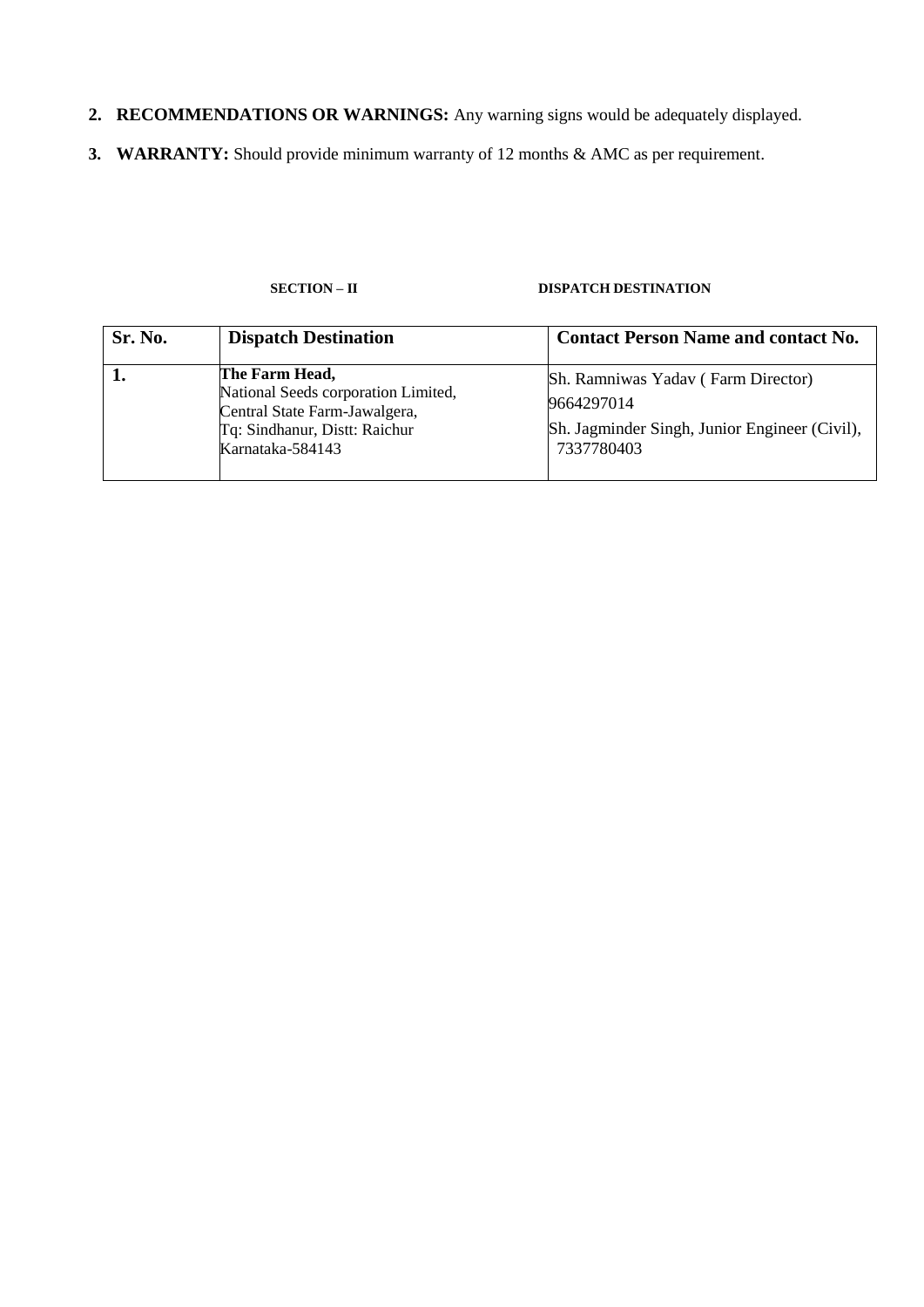- <span id="page-34-0"></span>**2. RECOMMENDATIONS OR WARNINGS:** Any warning signs would be adequately displayed.
- **3. WARRANTY:** Should provide minimum warranty of 12 months & AMC as per requirement.

#### **SECTION – II DISPATCH DESTINATION**

| Sr. No. | <b>Dispatch Destination</b>                                                                                                                 | <b>Contact Person Name and contact No.</b>                                                                      |
|---------|---------------------------------------------------------------------------------------------------------------------------------------------|-----------------------------------------------------------------------------------------------------------------|
|         | The Farm Head,<br>National Seeds corporation Limited,<br>Central State Farm-Jawalgera,<br>Tq: Sindhanur, Distt: Raichur<br>Karnataka-584143 | Sh. Ramniwas Yadav (Farm Director)<br>9664297014<br>Sh. Jagminder Singh, Junior Engineer (Civil),<br>7337780403 |